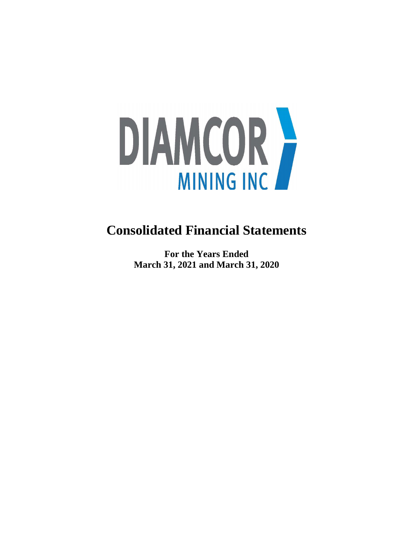

# **Consolidated Financial Statements**

**For the Years Ended March 31, 2021 and March 31, 2020**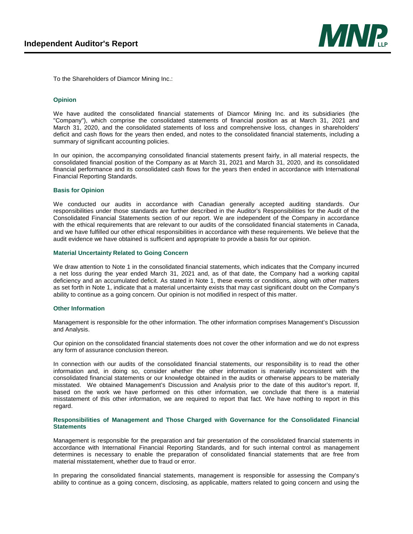

To the Shareholders of Diamcor Mining Inc.:

#### **Opinion**

We have audited the consolidated financial statements of Diamcor Mining Inc. and its subsidiaries (the "Company"), which comprise the consolidated statements of financial position as at March 31, 2021 and March 31, 2020, and the consolidated statements of loss and comprehensive loss, changes in shareholders' deficit and cash flows for the years then ended, and notes to the consolidated financial statements, including a summary of significant accounting policies.

In our opinion, the accompanying consolidated financial statements present fairly, in all material respects, the consolidated financial position of the Company as at March 31, 2021 and March 31, 2020, and its consolidated financial performance and its consolidated cash flows for the years then ended in accordance with International Financial Reporting Standards.

#### **Basis for Opinion**

We conducted our audits in accordance with Canadian generally accepted auditing standards. Our responsibilities under those standards are further described in the Auditor's Responsibilities for the Audit of the Consolidated Financial Statements section of our report. We are independent of the Company in accordance with the ethical requirements that are relevant to our audits of the consolidated financial statements in Canada, and we have fulfilled our other ethical responsibilities in accordance with these requirements. We believe that the audit evidence we have obtained is sufficient and appropriate to provide a basis for our opinion.

#### **Material Uncertainty Related to Going Concern**

We draw attention to Note 1 in the consolidated financial statements, which indicates that the Company incurred a net loss during the year ended March 31, 2021 and, as of that date, the Company had a working capital deficiency and an accumulated deficit. As stated in Note 1, these events or conditions, along with other matters as set forth in Note 1, indicate that a material uncertainty exists that may cast significant doubt on the Company's ability to continue as a going concern. Our opinion is not modified in respect of this matter.

#### **Other Information**

Management is responsible for the other information. The other information comprises Management's Discussion and Analysis.

Our opinion on the consolidated financial statements does not cover the other information and we do not express any form of assurance conclusion thereon.

In connection with our audits of the consolidated financial statements, our responsibility is to read the other information and, in doing so, consider whether the other information is materially inconsistent with the consolidated financial statements or our knowledge obtained in the audits or otherwise appears to be materially misstated. We obtained Management's Discussion and Analysis prior to the date of this auditor's report. If, based on the work we have performed on this other information, we conclude that there is a material misstatement of this other information, we are required to report that fact. We have nothing to report in this regard.

#### **Responsibilities of Management and Those Charged with Governance for the Consolidated Financial Statements**

Management is responsible for the preparation and fair presentation of the consolidated financial statements in accordance with International Financial Reporting Standards, and for such internal control as management determines is necessary to enable the preparation of consolidated financial statements that are free from material misstatement, whether due to fraud or error.

In preparing the consolidated financial statements, management is responsible for assessing the Company's ability to continue as a going concern, disclosing, as applicable, matters related to going concern and using the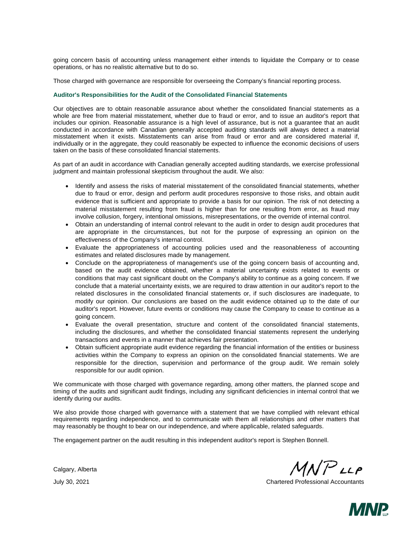going concern basis of accounting unless management either intends to liquidate the Company or to cease operations, or has no realistic alternative but to do so.

Those charged with governance are responsible for overseeing the Company's financial reporting process.

#### **Auditor's Responsibilities for the Audit of the Consolidated Financial Statements**

Our objectives are to obtain reasonable assurance about whether the consolidated financial statements as a whole are free from material misstatement, whether due to fraud or error, and to issue an auditor's report that includes our opinion. Reasonable assurance is a high level of assurance, but is not a guarantee that an audit conducted in accordance with Canadian generally accepted auditing standards will always detect a material misstatement when it exists. Misstatements can arise from fraud or error and are considered material if, individually or in the aggregate, they could reasonably be expected to influence the economic decisions of users taken on the basis of these consolidated financial statements.

As part of an audit in accordance with Canadian generally accepted auditing standards, we exercise professional judgment and maintain professional skepticism throughout the audit. We also:

- Identify and assess the risks of material misstatement of the consolidated financial statements, whether due to fraud or error, design and perform audit procedures responsive to those risks, and obtain audit evidence that is sufficient and appropriate to provide a basis for our opinion. The risk of not detecting a material misstatement resulting from fraud is higher than for one resulting from error, as fraud may involve collusion, forgery, intentional omissions, misrepresentations, or the override of internal control.
- Obtain an understanding of internal control relevant to the audit in order to design audit procedures that are appropriate in the circumstances, but not for the purpose of expressing an opinion on the effectiveness of the Company's internal control.
- Evaluate the appropriateness of accounting policies used and the reasonableness of accounting estimates and related disclosures made by management.
- Conclude on the appropriateness of management's use of the going concern basis of accounting and, based on the audit evidence obtained, whether a material uncertainty exists related to events or conditions that may cast significant doubt on the Company's ability to continue as a going concern. If we conclude that a material uncertainty exists, we are required to draw attention in our auditor's report to the related disclosures in the consolidated financial statements or, if such disclosures are inadequate, to modify our opinion. Our conclusions are based on the audit evidence obtained up to the date of our auditor's report. However, future events or conditions may cause the Company to cease to continue as a going concern.
- Evaluate the overall presentation, structure and content of the consolidated financial statements, including the disclosures, and whether the consolidated financial statements represent the underlying transactions and events in a manner that achieves fair presentation.
- Obtain sufficient appropriate audit evidence regarding the financial information of the entities or business activities within the Company to express an opinion on the consolidated financial statements. We are responsible for the direction, supervision and performance of the group audit. We remain solely responsible for our audit opinion.

We communicate with those charged with governance regarding, among other matters, the planned scope and timing of the audits and significant audit findings, including any significant deficiencies in internal control that we identify during our audits.

We also provide those charged with governance with a statement that we have complied with relevant ethical requirements regarding independence, and to communicate with them all relationships and other matters that may reasonably be thought to bear on our independence, and where applicable, related safeguards.

The engagement partner on the audit resulting in this independent auditor's report is Stephen Bonnell.

Calgary, Alberta

 $MNP$ LLP

July 30, 2021 Chartered Professional Accountants

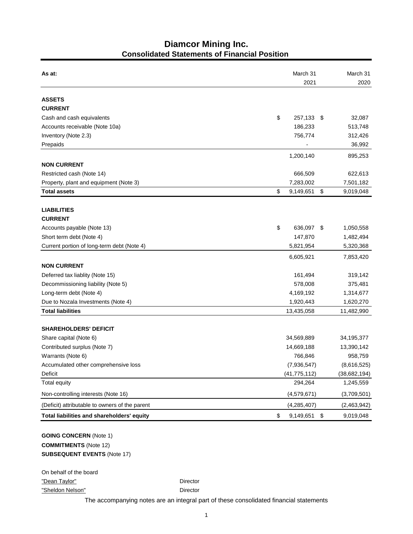# **Diamcor Mining Inc. Consolidated Statements of Financial Position**

| As at:                                         | March 31        | March 31        |
|------------------------------------------------|-----------------|-----------------|
|                                                | 2021            | 2020            |
| <b>ASSETS</b>                                  |                 |                 |
| <b>CURRENT</b>                                 |                 |                 |
| Cash and cash equivalents                      | \$<br>257,133   | \$<br>32,087    |
| Accounts receivable (Note 10a)                 | 186,233         | 513,748         |
| Inventory (Note 2.3)                           | 756,774         | 312,426         |
| Prepaids                                       |                 | 36,992          |
|                                                | 1,200,140       | 895,253         |
| <b>NON CURRENT</b>                             |                 |                 |
| Restricted cash (Note 14)                      | 666,509         | 622,613         |
| Property, plant and equipment (Note 3)         | 7,283,002       | 7,501,182       |
| <b>Total assets</b>                            | \$<br>9,149,651 | \$<br>9,019,048 |
|                                                |                 |                 |
| <b>LIABILITIES</b>                             |                 |                 |
| <b>CURRENT</b>                                 |                 |                 |
| Accounts payable (Note 13)                     | \$<br>636,097   | \$<br>1,050,558 |
| Short term debt (Note 4)                       | 147,870         | 1,482,494       |
| Current portion of long-term debt (Note 4)     | 5,821,954       | 5,320,368       |
|                                                | 6,605,921       | 7,853,420       |
| <b>NON CURRENT</b>                             |                 |                 |
| Deferred tax liablity (Note 15)                | 161,494         | 319,142         |
| Decommissioning liability (Note 5)             | 578,008         | 375,481         |
| Long-term debt (Note 4)                        | 4,169,192       | 1,314,677       |
| Due to Nozala Investments (Note 4)             | 1,920,443       | 1,620,270       |
| <b>Total liabilities</b>                       | 13,435,058      | 11,482,990      |
| <b>SHAREHOLDERS' DEFICIT</b>                   |                 |                 |
| Share capital (Note 6)                         | 34,569,889      | 34,195,377      |
| Contributed surplus (Note 7)                   | 14,669,188      | 13,390,142      |
| Warrants (Note 6)                              | 766,846         | 958,759         |
| Accumulated other comprehensive loss           | (7,936,547)     | (8,616,525)     |
| Deficit                                        | (41, 775, 112)  | (38,682,194)    |
| <b>Total equity</b>                            | 294,264         | 1,245,559       |
| Non-controlling interests (Note 16)            | (4,579,671)     | (3,709,501)     |
| (Deficit) attributable to owners of the parent | (4, 285, 407)   | (2,463,942)     |
| Total liabilities and shareholders' equity     | \$<br>9,149,651 | \$<br>9,019,048 |

# **GOING CONCERN** (Note 1) **COMMITMENTS** (Note 12) **SUBSEQUENT EVENTS** (Note 17)

On behalf of the board "Dean Taylor" **Director** Director "Sheldon Nelson" Director

The accompanying notes are an integral part of these consolidated financial statements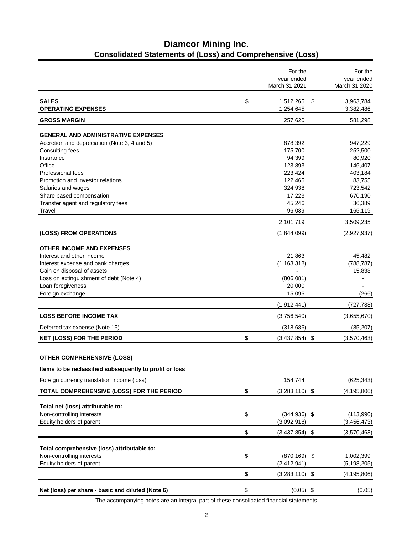|                                                         | For the                     | For the                     |
|---------------------------------------------------------|-----------------------------|-----------------------------|
|                                                         | year ended<br>March 31 2021 | year ended<br>March 31 2020 |
|                                                         |                             |                             |
| <b>SALES</b>                                            | \$<br>1,512,265             | \$<br>3,963,784             |
| <b>OPERATING EXPENSES</b>                               | 1,254,645                   | 3,382,486                   |
| <b>GROSS MARGIN</b>                                     | 257,620                     | 581,298                     |
| <b>GENERAL AND ADMINISTRATIVE EXPENSES</b>              |                             |                             |
| Accretion and depreciation (Note 3, 4 and 5)            | 878,392                     | 947,229                     |
| Consulting fees                                         | 175,700                     | 252,500                     |
| Insurance                                               | 94,399                      | 80,920                      |
| Office                                                  | 123,893                     | 146,407                     |
| Professional fees<br>Promotion and investor relations   | 223,424<br>122,465          | 403,184<br>83,755           |
| Salaries and wages                                      | 324,938                     | 723,542                     |
| Share based compensation                                | 17,223                      | 670,190                     |
| Transfer agent and regulatory fees                      | 45,246                      | 36,389                      |
| Travel                                                  | 96,039                      | 165,119                     |
|                                                         | 2,101,719                   | 3,509,235                   |
| (LOSS) FROM OPERATIONS                                  | (1,844,099)                 | (2,927,937)                 |
| <b>OTHER INCOME AND EXPENSES</b>                        |                             |                             |
| Interest and other income                               | 21,863                      | 45,482                      |
| Interest expense and bank charges                       | (1, 163, 318)               | (788, 787)                  |
| Gain on disposal of assets                              |                             | 15,838                      |
| Loss on extinguishment of debt (Note 4)                 | (806, 081)                  |                             |
| Loan foregiveness<br>Foreign exchange                   | 20,000<br>15,095            | (266)                       |
|                                                         |                             |                             |
| <b>LOSS BEFORE INCOME TAX</b>                           | (1,912,441)<br>(3,756,540)  | (727, 733)<br>(3,655,670)   |
| Deferred tax expense (Note 15)                          | (318, 686)                  | (85, 207)                   |
| NET (LOSS) FOR THE PERIOD                               | \$<br>$(3,437,854)$ \$      | (3,570,463)                 |
|                                                         |                             |                             |
| <b>OTHER COMPREHENSIVE (LOSS)</b>                       |                             |                             |
| Items to be reclassified subsequently to profit or loss |                             |                             |
| Foreign currency translation income (loss)              | 154,744                     | (625, 343)                  |
| TOTAL COMPREHENSIVE (LOSS) FOR THE PERIOD               | \$<br>$(3,283,110)$ \$      | (4, 195, 806)               |
| Total net (loss) attributable to:                       |                             |                             |
| Non-controlling interests                               | \$<br>$(344, 936)$ \$       | (113,990)                   |
| Equity holders of parent                                | (3,092,918)                 | (3, 456, 473)               |
|                                                         | \$<br>$(3,437,854)$ \$      | (3,570,463)                 |
| Total comprehensive (loss) attributable to:             |                             |                             |
| Non-controlling interests                               | \$<br>$(870, 169)$ \$       | 1,002,399                   |
| Equity holders of parent                                | (2, 412, 941)               | (5, 198, 205)               |
|                                                         | \$<br>(3,283,110)           | \$<br>(4, 195, 806)         |
| Net (loss) per share - basic and diluted (Note 6)       | \$<br>$(0.05)$ \$           | (0.05)                      |

# **Diamcor Mining Inc. Consolidated Statements of (Loss) and Comprehensive (Loss)**

The accompanying notes are an integral part of these consolidated financial statements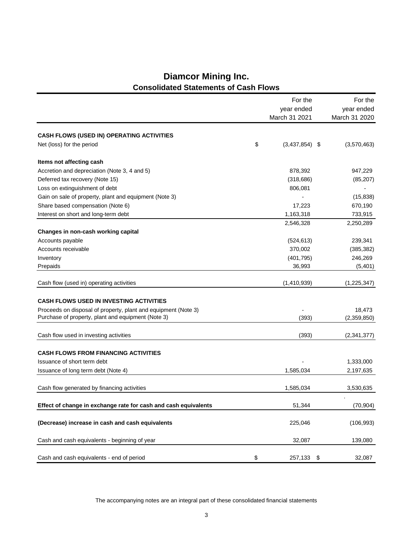# **Diamcor Mining Inc. Consolidated Statements of Cash Flows**

|                                                                 | For the                                                                                                                                                                                                                                                                        | For the       |
|-----------------------------------------------------------------|--------------------------------------------------------------------------------------------------------------------------------------------------------------------------------------------------------------------------------------------------------------------------------|---------------|
|                                                                 | year ended                                                                                                                                                                                                                                                                     | year ended    |
|                                                                 | Consolidated Statements of Cash Flows<br>March 31 2021<br>\$<br>$(3,437,854)$ \$<br>878,392<br>(318, 686)<br>806,081<br>17,223<br>1,163,318<br>2,546,328<br>(524, 613)<br>370,002<br>(401, 795)<br>36,993<br>(1,410,939)<br>(393)<br>(393)<br>1,585,034<br>1,585,034<br>51,344 | March 31 2020 |
| <b>CASH FLOWS (USED IN) OPERATING ACTIVITIES</b>                |                                                                                                                                                                                                                                                                                |               |
| Net (loss) for the period                                       |                                                                                                                                                                                                                                                                                | (3,570,463)   |
| Items not affecting cash                                        |                                                                                                                                                                                                                                                                                |               |
| Accretion and depreciation (Note 3, 4 and 5)                    |                                                                                                                                                                                                                                                                                | 947,229       |
| Deferred tax recovery (Note 15)                                 |                                                                                                                                                                                                                                                                                | (85, 207)     |
| Loss on extinguishment of debt                                  |                                                                                                                                                                                                                                                                                |               |
| Gain on sale of property, plant and equipment (Note 3)          |                                                                                                                                                                                                                                                                                | (15, 838)     |
| Share based compensation (Note 6)                               |                                                                                                                                                                                                                                                                                | 670,190       |
| Interest on short and long-term debt                            |                                                                                                                                                                                                                                                                                | 733,915       |
|                                                                 |                                                                                                                                                                                                                                                                                | 2,250,289     |
| Changes in non-cash working capital                             |                                                                                                                                                                                                                                                                                |               |
| Accounts payable                                                |                                                                                                                                                                                                                                                                                | 239,341       |
| Accounts receivable                                             |                                                                                                                                                                                                                                                                                | (385, 382)    |
| Inventory                                                       |                                                                                                                                                                                                                                                                                | 246,269       |
| Prepaids                                                        |                                                                                                                                                                                                                                                                                | (5,401)       |
| Cash flow (used in) operating activities                        |                                                                                                                                                                                                                                                                                | (1, 225, 347) |
| <b>CASH FLOWS USED IN INVESTING ACTIVITIES</b>                  |                                                                                                                                                                                                                                                                                |               |
| Proceeds on disposal of property, plant and equipment (Note 3)  |                                                                                                                                                                                                                                                                                | 18,473        |
| Purchase of property, plant and equipment (Note 3)              |                                                                                                                                                                                                                                                                                | (2,359,850)   |
| Cash flow used in investing activities                          |                                                                                                                                                                                                                                                                                | (2,341,377)   |
| <b>CASH FLOWS FROM FINANCING ACTIVITIES</b>                     |                                                                                                                                                                                                                                                                                |               |
| Issuance of short term debt                                     |                                                                                                                                                                                                                                                                                | 1,333,000     |
| Issuance of long term debt (Note 4)                             |                                                                                                                                                                                                                                                                                | 2,197,635     |
|                                                                 |                                                                                                                                                                                                                                                                                |               |
| Cash flow generated by financing activities                     |                                                                                                                                                                                                                                                                                | 3,530,635     |
| Effect of change in exchange rate for cash and cash equivalents |                                                                                                                                                                                                                                                                                | (70, 904)     |
| (Decrease) increase in cash and cash equivalents                | 225,046                                                                                                                                                                                                                                                                        | (106, 993)    |
| Cash and cash equivalents - beginning of year                   | 32,087                                                                                                                                                                                                                                                                         | 139,080       |

The accompanying notes are an integral part of these consolidated financial statements

Cash and cash equivalents - end of period  $$$  257,133 \$ 32,087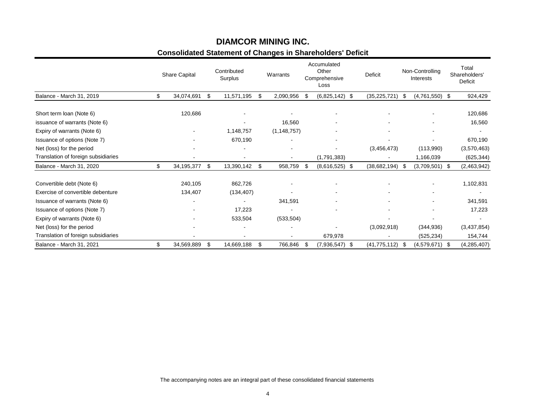# **Consolidated Statement of Changes in Shareholders' Deficit DIAMCOR MINING INC.**

|                                     | <b>Share Capital</b> |    | Contributed<br>Surplus |    | Warrants                 |      | Accumulated<br>Other<br>Comprehensive<br>Loss | Deficit           |      | Non-Controlling<br>Interests | Total<br>Shareholders'<br>Deficit |
|-------------------------------------|----------------------|----|------------------------|----|--------------------------|------|-----------------------------------------------|-------------------|------|------------------------------|-----------------------------------|
| Balance - March 31, 2019            | \$<br>34,074,691     | -S | 11,571,195             | S. | 2,090,956                | - \$ | $(6,825,142)$ \$                              | (35, 225, 721)    | - \$ | $(4,761,550)$ \$             | 924,429                           |
| Short term loan (Note 6)            | 120,686              |    |                        |    |                          |      | $\blacksquare$                                |                   |      |                              | 120,686                           |
| issuance of warrants (Note 6)       |                      |    |                        |    | 16,560                   |      |                                               |                   |      |                              | 16,560                            |
| Expiry of warrants (Note 6)         |                      |    | 1,148,757              |    | (1, 148, 757)            |      |                                               |                   |      | $\blacksquare$               | $\overline{\phantom{a}}$          |
| Issuance of options (Note 7)        |                      |    | 670,190                |    |                          |      |                                               |                   |      |                              | 670,190                           |
| Net (loss) for the period           |                      |    | $\blacksquare$         |    |                          |      |                                               | (3,456,473)       |      | (113,990)                    | (3,570,463)                       |
| Translation of foreign subsidiaries |                      |    | $\sim$                 |    | $\overline{\phantom{a}}$ |      | (1,791,383)                                   |                   |      | 1,166,039                    | (625, 344)                        |
| Balance - March 31, 2020            | \$<br>34,195,377     | \$ | 13,390,142             | \$ | 958,759                  | -\$  | $(8,616,525)$ \$                              | $(38,682,194)$ \$ |      | $(3,709,501)$ \$             | (2,463,942)                       |
| Convertible debt (Note 6)           | 240,105              |    | 862,726                |    |                          |      |                                               |                   |      |                              | 1,102,831                         |
| Exercise of convertible debenture   | 134,407              |    | (134, 407)             |    |                          |      | $\blacksquare$                                |                   |      |                              |                                   |
| Issuance of warrants (Note 6)       |                      |    |                        |    | 341,591                  |      |                                               |                   |      |                              | 341,591                           |
| Issuance of options (Note 7)        |                      |    | 17,223                 |    |                          |      |                                               |                   |      |                              | 17,223                            |
| Expiry of warrants (Note 6)         | $\blacksquare$       |    | 533,504                |    | (533, 504)               |      |                                               |                   |      |                              |                                   |
| Net (loss) for the period           |                      |    | $\sim$                 |    |                          |      |                                               | (3,092,918)       |      | (344, 936)                   | (3,437,854)                       |
| Translation of foreign subsidiaries |                      |    |                        |    |                          |      | 679,978                                       |                   |      | (525, 234)                   | 154,744                           |
| Balance - March 31, 2021            | \$<br>34,569,889     | S  | 14,669,188             | \$ | 766,846                  | \$   | (7,936,547)<br>-\$                            | (41, 775, 112)    | -\$  | $(4,579,671)$ \$             | (4, 285, 407)                     |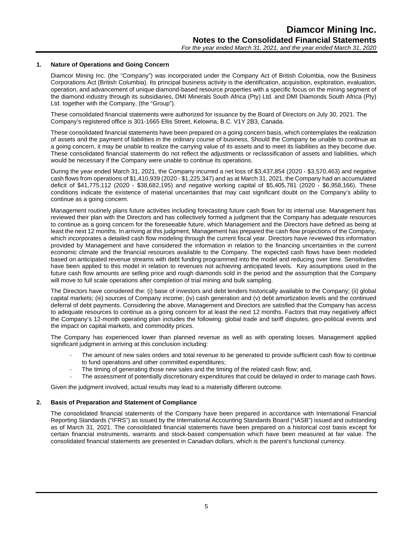#### **1. Nature of Operations and Going Concern**

Diamcor Mining Inc. (the "Company") was incorporated under the Company Act of British Columbia, now the Business Corporations Act (British Columbia). Its principal business activity is the identification, acquisition, exploration, evaluation, operation, and advancement of unique diamond-based resource properties with a specific focus on the mining segment of the diamond industry through its subsidiaries, DMI Minerals South Africa (Pty) Ltd. and DMI Diamonds South Africa (Pty) Ltd. together with the Company, (the "Group").

These consolidated financial statements were authorized for issuance by the Board of Directors on July 30, 2021. The Company's registered office is 301-1665 Ellis Street, Kelowna, B.C. V1Y 2B3, Canada.

These consolidated financial statements have been prepared on a going concern basis, which contemplates the realization of assets and the payment of liabilities in the ordinary course of business. Should the Company be unable to continue as a going concern, it may be unable to realize the carrying value of its assets and to meet its liabilities as they become due. These consolidated financial statements do not reflect the adjustments or reclassification of assets and liabilities, which would be necessary if the Company were unable to continue its operations.

During the year ended March 31, 2021, the Company incurred a net loss of \$3,437,854 (2020 - \$3,570,463) and negative cash flows from operations of \$1,410,939 (2020 - \$1,225,347) and as at March 31, 2021, the Company had an accumulated deficit of \$41,775,112 (2020 - \$38,682,195) and negative working capital of \$5,405,781 (2020 - \$6,958,166). These conditions indicate the existence of material uncertainties that may cast significant doubt on the Company's ability to continue as a going concern.

Management routinely plans future activities including forecasting future cash flows for its internal use. Management has reviewed their plan with the Directors and has collectively formed a judgment that the Company has adequate resources to continue as a going concern for the foreseeable future, which Management and the Directors have defined as being at least the next 12 months. In arriving at this judgment, Management has prepared the cash flow projections of the Company, which incorporates a detailed cash flow modeling through the current fiscal year. Directors have reviewed this information provided by Management and have considered the information in relation to the financing uncertainties in the current economic climate and the financial resources available to the Company. The expected cash flows have been modeled based on anticipated revenue streams with debt funding programmed into the model and reducing over time. Sensitivities have been applied to this model in relation to revenues not achieving anticipated levels. Key assumptions used in the future cash flow amounts are selling price and rough diamonds sold in the period and the assumption that the Company will move to full scale operations after completion of trial mining and bulk sampling.

The Directors have considered the: (i) base of investors and debt lenders historically available to the Company; (ii) global capital markets; (iii) sources of Company income; (iv) cash generation and (v) debt amortization levels and the continued deferral of debt payments. Considering the above, Management and Directors are satisfied that the Company has access to adequate resources to continue as a going concern for at least the next 12 months. Factors that may negatively affect the Company's 12-month operating plan includes the following: global trade and tariff disputes, geo-political events and the impact on capital markets, and commodity prices.

The Company has experienced lower than planned revenue as well as with operating losses. Management applied significant judgment in arriving at this conclusion including:

- The amount of new sales orders and total revenue to be generated to provide sufficient cash flow to continue to fund operations and other committed expenditures;
- The timing of generating those new sales and the timing of the related cash flow; and,
- The assessment of potentially discretionary expenditures that could be delayed in order to manage cash flows.

Given the judgment involved, actual results may lead to a materially different outcome.

#### **2. Basis of Preparation and Statement of Compliance**

The consolidated financial statements of the Company have been prepared in accordance with International Financial Reporting Standards ("IFRS") as issued by the International Accounting Standards Board ("IASB") issued and outstanding as of March 31, 2021. The consolidated financial statements have been prepared on a historical cost basis except for certain financial instruments, warrants and stock-based compensation which have been measured at fair value. The consolidated financial statements are presented in Canadian dollars, which is the parent's functional currency.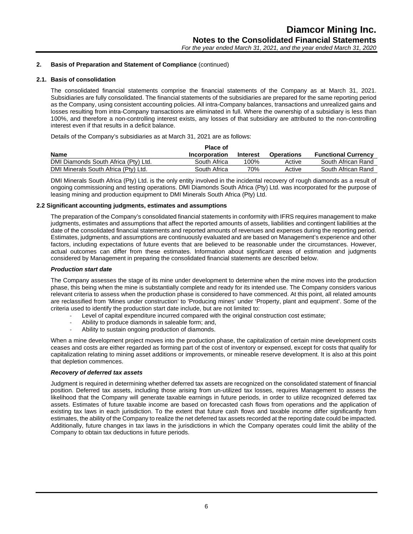#### **2.1. Basis of consolidation**

The consolidated financial statements comprise the financial statements of the Company as at March 31, 2021. Subsidiaries are fully consolidated. The financial statements of the subsidiaries are prepared for the same reporting period as the Company, using consistent accounting policies. All intra-Company balances, transactions and unrealized gains and losses resulting from intra-Company transactions are eliminated in full. Where the ownership of a subsidiary is less than 100%, and therefore a non-controlling interest exists, any losses of that subsidiary are attributed to the non-controlling interest even if that results in a deficit balance.

Details of the Company's subsidiaries as at March 31, 2021 are as follows:

|                                      | Place of      |                 |                   |                            |
|--------------------------------------|---------------|-----------------|-------------------|----------------------------|
| <b>Name</b>                          | Incorporation | <b>Interest</b> | <b>Operations</b> | <b>Functional Currency</b> |
| DMI Diamonds South Africa (Pty) Ltd. | South Africa  | 100%            | Active            | South African Rand         |
| DMI Minerals South Africa (Pty) Ltd. | South Africa  | 70%             | Active            | South African Rand         |

DMI Minerals South Africa (Pty) Ltd. is the only entity involved in the incidental recovery of rough diamonds as a result of ongoing commissioning and testing operations. DMI Diamonds South Africa (Pty) Ltd. was incorporated for the purpose of leasing mining and production equipment to DMI Minerals South Africa (Pty) Ltd.

#### **2.2 Significant accounting judgments, estimates and assumptions**

The preparation of the Company's consolidated financial statements in conformity with IFRS requires management to make judgments, estimates and assumptions that affect the reported amounts of assets, liabilities and contingent liabilities at the date of the consolidated financial statements and reported amounts of revenues and expenses during the reporting period. Estimates, judgments, and assumptions are continuously evaluated and are based on Management's experience and other factors, including expectations of future events that are believed to be reasonable under the circumstances. However, actual outcomes can differ from these estimates. Information about significant areas of estimation and judgments considered by Management in preparing the consolidated financial statements are described below.

#### *Production start date*

The Company assesses the stage of its mine under development to determine when the mine moves into the production phase, this being when the mine is substantially complete and ready for its intended use. The Company considers various relevant criteria to assess when the production phase is considered to have commenced. At this point, all related amounts are reclassified from 'Mines under construction' to 'Producing mines' under 'Property, plant and equipment'. Some of the criteria used to identify the production start date include, but are not limited to:

- Level of capital expenditure incurred compared with the original construction cost estimate;
- Ability to produce diamonds in saleable form; and,
- Ability to sustain ongoing production of diamonds.

When a mine development project moves into the production phase, the capitalization of certain mine development costs ceases and costs are either regarded as forming part of the cost of inventory or expensed, except for costs that qualify for capitalization relating to mining asset additions or improvements, or mineable reserve development. It is also at this point that depletion commences.

#### *Recovery of deferred tax assets*

Judgment is required in determining whether deferred tax assets are recognized on the consolidated statement of financial position. Deferred tax assets, including those arising from un-utilized tax losses, requires Management to assess the likelihood that the Company will generate taxable earnings in future periods, in order to utilize recognized deferred tax assets. Estimates of future taxable income are based on forecasted cash flows from operations and the application of existing tax laws in each jurisdiction. To the extent that future cash flows and taxable income differ significantly from estimates, the ability of the Company to realize the net deferred tax assets recorded at the reporting date could be impacted. Additionally, future changes in tax laws in the jurisdictions in which the Company operates could limit the ability of the Company to obtain tax deductions in future periods.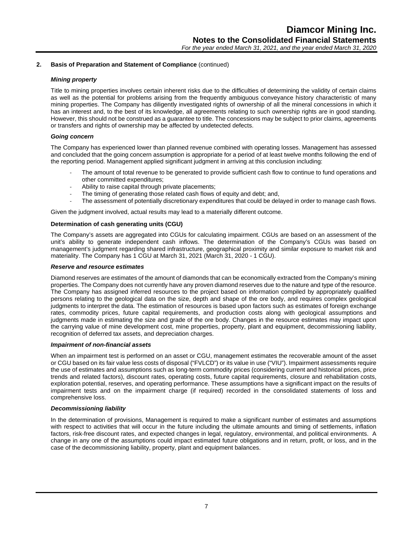#### *Mining property*

Title to mining properties involves certain inherent risks due to the difficulties of determining the validity of certain claims as well as the potential for problems arising from the frequently ambiguous conveyance history characteristic of many mining properties. The Company has diligently investigated rights of ownership of all the mineral concessions in which it has an interest and, to the best of its knowledge, all agreements relating to such ownership rights are in good standing. However, this should not be construed as a guarantee to title. The concessions may be subject to prior claims, agreements or transfers and rights of ownership may be affected by undetected defects.

#### *Going concern*

The Company has experienced lower than planned revenue combined with operating losses. Management has assessed and concluded that the going concern assumption is appropriate for a period of at least twelve months following the end of the reporting period. Management applied significant judgment in arriving at this conclusion including:

- The amount of total revenue to be generated to provide sufficient cash flow to continue to fund operations and other committed expenditures;
- Ability to raise capital through private placements;
- The timing of generating those related cash flows of equity and debt; and,
- The assessment of potentially discretionary expenditures that could be delayed in order to manage cash flows.

Given the judgment involved, actual results may lead to a materially different outcome.

#### **Determination of cash generating units (CGU)**

The Company's assets are aggregated into CGUs for calculating impairment. CGUs are based on an assessment of the unit's ability to generate independent cash inflows. The determination of the Company's CGUs was based on management's judgment regarding shared infrastructure, geographical proximity and similar exposure to market risk and materiality. The Company has 1 CGU at March 31, 2021 (March 31, 2020 - 1 CGU).

#### *Reserve and resource estimates*

Diamond reserves are estimates of the amount of diamonds that can be economically extracted from the Company's mining properties. The Company does not currently have any proven diamond reserves due to the nature and type of the resource. The Company has assigned inferred resources to the project based on information compiled by appropriately qualified persons relating to the geological data on the size, depth and shape of the ore body, and requires complex geological judgments to interpret the data. The estimation of resources is based upon factors such as estimates of foreign exchange rates, commodity prices, future capital requirements, and production costs along with geological assumptions and judgments made in estimating the size and grade of the ore body. Changes in the resource estimates may impact upon the carrying value of mine development cost, mine properties, property, plant and equipment, decommissioning liability, recognition of deferred tax assets, and depreciation charges.

#### *Impairment of non-financial assets*

When an impairment test is performed on an asset or CGU, management estimates the recoverable amount of the asset or CGU based on its fair value less costs of disposal ("FVLCD") or its value in use ("VIU"). Impairment assessments require the use of estimates and assumptions such as long-term commodity prices (considering current and historical prices, price trends and related factors), discount rates, operating costs, future capital requirements, closure and rehabilitation costs, exploration potential, reserves, and operating performance. These assumptions have a significant impact on the results of impairment tests and on the impairment charge (if required) recorded in the consolidated statements of loss and comprehensive loss.

#### *Decommissioning liability*

In the determination of provisions, Management is required to make a significant number of estimates and assumptions with respect to activities that will occur in the future including the ultimate amounts and timing of settlements, inflation factors, risk-free discount rates, and expected changes in legal, regulatory, environmental, and political environments. A change in any one of the assumptions could impact estimated future obligations and in return, profit, or loss, and in the case of the decommissioning liability, property, plant and equipment balances.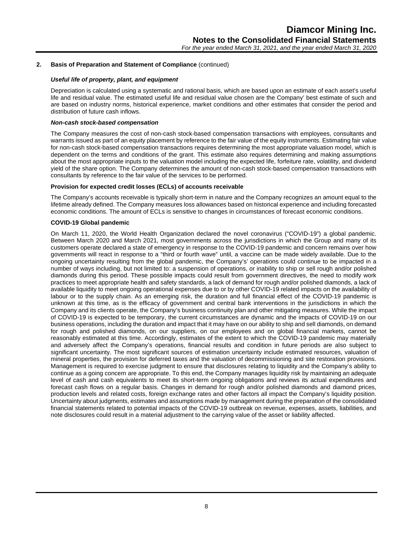#### *Useful life of property, plant, and equipment*

Depreciation is calculated using a systematic and rational basis, which are based upon an estimate of each asset's useful life and residual value. The estimated useful life and residual value chosen are the Company' best estimate of such and are based on industry norms, historical experience, market conditions and other estimates that consider the period and distribution of future cash inflows.

#### *Non-cash stock-based compensation*

The Company measures the cost of non-cash stock-based compensation transactions with employees, consultants and warrants issued as part of an equity placement by reference to the fair value of the equity instruments. Estimating fair value for non-cash stock-based compensation transactions requires determining the most appropriate valuation model, which is dependent on the terms and conditions of the grant. This estimate also requires determining and making assumptions about the most appropriate inputs to the valuation model including the expected life, forfeiture rate, volatility, and dividend yield of the share option. The Company determines the amount of non-cash stock-based compensation transactions with consultants by reference to the fair value of the services to be performed.

#### **Provision for expected credit losses (ECLs) of accounts receivable**

The Company's accounts receivable is typically short-term in nature and the Company recognizes an amount equal to the lifetime already defined. The Company measures loss allowances based on historical experience and including forecasted economic conditions. The amount of ECLs is sensitive to changes in circumstances of forecast economic conditions.

#### **COVID-19 Global pandemic**

On March 11, 2020, the World Health Organization declared the novel coronavirus ("COVID-19") a global pandemic. Between March 2020 and March 2021, most governments across the jurisdictions in which the Group and many of its customers operate declared a state of emergency in response to the COVID-19 pandemic and concern remains over how governments will react in response to a "third or fourth wave" until, a vaccine can be made widely available. Due to the ongoing uncertainty resulting from the global pandemic, the Company's' operations could continue to be impacted in a number of ways including, but not limited to: a suspension of operations, or inability to ship or sell rough and/or polished diamonds during this period. These possible impacts could result from government directives, the need to modify work practices to meet appropriate health and safety standards, a lack of demand for rough and/or polished diamonds, a lack of available liquidity to meet ongoing operational expenses due to or by other COVID-19 related impacts on the availability of labour or to the supply chain. As an emerging risk, the duration and full financial effect of the COVID-19 pandemic is unknown at this time, as is the efficacy of government and central bank interventions in the jurisdictions in which the Company and its clients operate, the Company's business continuity plan and other mitigating measures. While the impact of COVID-19 is expected to be temporary, the current circumstances are dynamic and the impacts of COVID-19 on our business operations, including the duration and impact that it may have on our ability to ship and sell diamonds, on demand for rough and polished diamonds, on our suppliers, on our employees and on global financial markets, cannot be reasonably estimated at this time. Accordingly, estimates of the extent to which the COVID-19 pandemic may materially and adversely affect the Company's operations, financial results and condition in future periods are also subject to significant uncertainty. The most significant sources of estimation uncertainty include estimated resources, valuation of mineral properties, the provision for deferred taxes and the valuation of decommissioning and site restoration provisions. Management is required to exercise judgment to ensure that disclosures relating to liquidity and the Company's ability to continue as a going concern are appropriate. To this end, the Company manages liquidity risk by maintaining an adequate level of cash and cash equivalents to meet its short-term ongoing obligations and reviews its actual expenditures and forecast cash flows on a regular basis. Changes in demand for rough and/or polished diamonds and diamond prices, production levels and related costs, foreign exchange rates and other factors all impact the Company's liquidity position. Uncertainty about judgments, estimates and assumptions made by management during the preparation of the consolidated financial statements related to potential impacts of the COVID-19 outbreak on revenue, expenses, assets, liabilities, and note disclosures could result in a material adjustment to the carrying value of the asset or liability affected.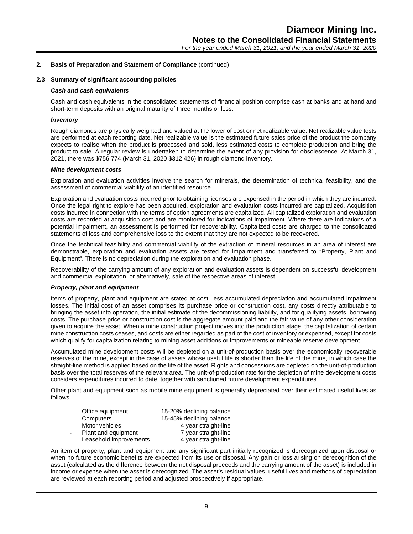#### **2.3 Summary of significant accounting policies**

#### *Cash and cash equivalents*

Cash and cash equivalents in the consolidated statements of financial position comprise cash at banks and at hand and short-term deposits with an original maturity of three months or less.

#### *Inventory*

Rough diamonds are physically weighted and valued at the lower of cost or net realizable value. Net realizable value tests are performed at each reporting date. Net realizable value is the estimated future sales price of the product the company expects to realise when the product is processed and sold, less estimated costs to complete production and bring the product to sale. A regular review is undertaken to determine the extent of any provision for obsolescence. At March 31, 2021, there was \$756,774 (March 31, 2020 \$312,426) in rough diamond inventory.

#### *Mine development costs*

Exploration and evaluation activities involve the search for minerals, the determination of technical feasibility, and the assessment of commercial viability of an identified resource.

Exploration and evaluation costs incurred prior to obtaining licenses are expensed in the period in which they are incurred. Once the legal right to explore has been acquired, exploration and evaluation costs incurred are capitalized. Acquisition costs incurred in connection with the terms of option agreements are capitalized. All capitalized exploration and evaluation costs are recorded at acquisition cost and are monitored for indications of impairment. Where there are indications of a potential impairment, an assessment is performed for recoverability. Capitalized costs are charged to the consolidated statements of loss and comprehensive loss to the extent that they are not expected to be recovered.

Once the technical feasibility and commercial viability of the extraction of mineral resources in an area of interest are demonstrable, exploration and evaluation assets are tested for impairment and transferred to "Property, Plant and Equipment". There is no depreciation during the exploration and evaluation phase.

Recoverability of the carrying amount of any exploration and evaluation assets is dependent on successful development and commercial exploitation, or alternatively, sale of the respective areas of interest.

#### *Property, plant and equipment*

Items of property, plant and equipment are stated at cost, less accumulated depreciation and accumulated impairment losses. The initial cost of an asset comprises its purchase price or construction cost, any costs directly attributable to bringing the asset into operation, the initial estimate of the decommissioning liability, and for qualifying assets, borrowing costs. The purchase price or construction cost is the aggregate amount paid and the fair value of any other consideration given to acquire the asset. When a mine construction project moves into the production stage, the capitalization of certain mine construction costs ceases, and costs are either regarded as part of the cost of inventory or expensed, except for costs which qualify for capitalization relating to mining asset additions or improvements or mineable reserve development.

Accumulated mine development costs will be depleted on a unit-of-production basis over the economically recoverable reserves of the mine, except in the case of assets whose useful life is shorter than the life of the mine, in which case the straight-line method is applied based on the life of the asset. Rights and concessions are depleted on the unit-of-production basis over the total reserves of the relevant area. The unit-of-production rate for the depletion of mine development costs considers expenditures incurred to date, together with sanctioned future development expenditures.

Other plant and equipment such as mobile mine equipment is generally depreciated over their estimated useful lives as follows:

| $\sim$ | Office equipment          | 15-20% declining balance |
|--------|---------------------------|--------------------------|
| $\sim$ | Computers                 | 15-45% declining balance |
| $\sim$ | Motor vehicles            | 4 year straight-line     |
|        | <b>Dlant and caupmant</b> | Z voor etroight line     |

- Plant and equipment 7 year straight-line Leasehold improvements 4 year straight-line
- 

An item of property, plant and equipment and any significant part initially recognized is derecognized upon disposal or when no future economic benefits are expected from its use or disposal. Any gain or loss arising on derecognition of the asset (calculated as the difference between the net disposal proceeds and the carrying amount of the asset) is included in income or expense when the asset is derecognized. The asset's residual values, useful lives and methods of depreciation are reviewed at each reporting period and adjusted prospectively if appropriate.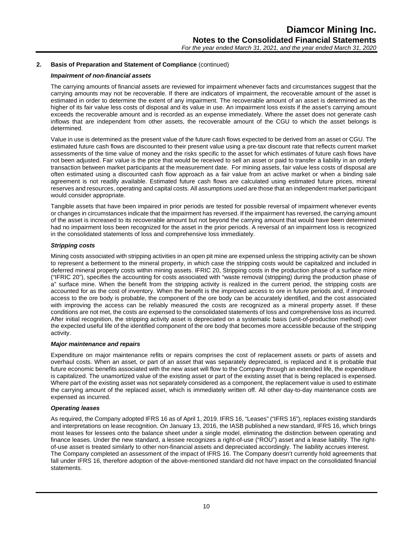#### *Impairment of non-financial assets*

The carrying amounts of financial assets are reviewed for impairment whenever facts and circumstances suggest that the carrying amounts may not be recoverable. If there are indicators of impairment, the recoverable amount of the asset is estimated in order to determine the extent of any impairment. The recoverable amount of an asset is determined as the higher of its fair value less costs of disposal and its value in use. An impairment loss exists if the asset's carrying amount exceeds the recoverable amount and is recorded as an expense immediately. Where the asset does not generate cash inflows that are independent from other assets, the recoverable amount of the CGU to which the asset belongs is determined.

Value in use is determined as the present value of the future cash flows expected to be derived from an asset or CGU. The estimated future cash flows are discounted to their present value using a pre-tax discount rate that reflects current market assessments of the time value of money and the risks specific to the asset for which estimates of future cash flows have not been adjusted. Fair value is the price that would be received to sell an asset or paid to transfer a liability in an orderly transaction between market participants at the measurement date. For mining assets, fair value less costs of disposal are often estimated using a discounted cash flow approach as a fair value from an active market or when a binding sale agreement is not readily available. Estimated future cash flows are calculated using estimated future prices, mineral reserves and resources, operating and capital costs. All assumptions used are those that an independent market participant would consider appropriate.

Tangible assets that have been impaired in prior periods are tested for possible reversal of impairment whenever events or changes in circumstances indicate that the impairment has reversed. If the impairment has reversed, the carrying amount of the asset is increased to its recoverable amount but not beyond the carrying amount that would have been determined had no impairment loss been recognized for the asset in the prior periods. A reversal of an impairment loss is recognized in the consolidated statements of loss and comprehensive loss immediately.

#### *Stripping costs*

Mining costs associated with stripping activities in an open pit mine are expensed unless the stripping activity can be shown to represent a betterment to the mineral property, in which case the stripping costs would be capitalized and included in deferred mineral property costs within mining assets. IFRIC 20, Stripping costs in the production phase of a surface mine ("IFRIC 20"), specifies the accounting for costs associated with "waste removal (stripping) during the production phase of a" surface mine. When the benefit from the stripping activity is realized in the current period, the stripping costs are accounted for as the cost of inventory. When the benefit is the improved access to ore in future periods and, if improved access to the ore body is probable, the component of the ore body can be accurately identified, and the cost associated with improving the access can be reliably measured the costs are recognized as a mineral property asset. If these conditions are not met, the costs are expensed to the consolidated statements of loss and comprehensive loss as incurred. After initial recognition, the stripping activity asset is depreciated on a systematic basis (unit-of-production method) over the expected useful life of the identified component of the ore body that becomes more accessible because of the stripping activity.

#### *Major maintenance and repairs*

Expenditure on major maintenance refits or repairs comprises the cost of replacement assets or parts of assets and overhaul costs. When an asset, or part of an asset that was separately depreciated, is replaced and it is probable that future economic benefits associated with the new asset will flow to the Company through an extended life, the expenditure is capitalized. The unamortized value of the existing asset or part of the existing asset that is being replaced is expensed. Where part of the existing asset was not separately considered as a component, the replacement value is used to estimate the carrying amount of the replaced asset, which is immediately written off. All other day-to-day maintenance costs are expensed as incurred.

#### *Operating leases*

As required, the Company adopted IFRS 16 as of April 1, 2019. IFRS 16, "Leases" ("IFRS 16"), replaces existing standards and interpretations on lease recognition. On January 13, 2016, the IASB published a new standard, IFRS 16, which brings most leases for lessees onto the balance sheet under a single model, eliminating the distinction between operating and finance leases. Under the new standard, a lessee recognizes a right-of-use ("ROU") asset and a lease liability. The rightof-use asset is treated similarly to other non-financial assets and depreciated accordingly. The liability accrues interest. The Company completed an assessment of the impact of IFRS 16. The Company doesn't currently hold agreements that fall under IFRS 16, therefore adoption of the above-mentioned standard did not have impact on the consolidated financial statements.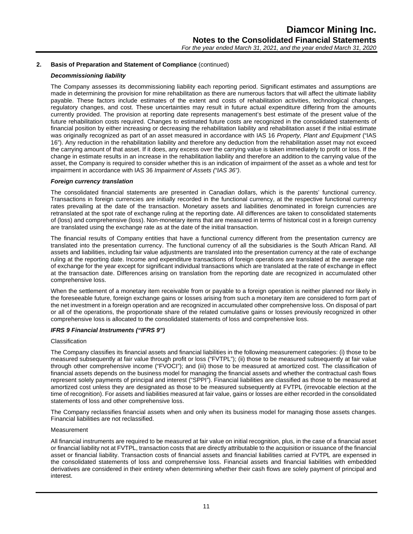#### *Decommissioning liability*

The Company assesses its decommissioning liability each reporting period. Significant estimates and assumptions are made in determining the provision for mine rehabilitation as there are numerous factors that will affect the ultimate liability payable. These factors include estimates of the extent and costs of rehabilitation activities, technological changes, regulatory changes, and cost. These uncertainties may result in future actual expenditure differing from the amounts currently provided. The provision at reporting date represents management's best estimate of the present value of the future rehabilitation costs required. Changes to estimated future costs are recognized in the consolidated statements of financial position by either increasing or decreasing the rehabilitation liability and rehabilitation asset if the initial estimate was originally recognized as part of an asset measured in accordance with IAS 16 *Property, Plant and Equipment* ("IAS 16"). Any reduction in the rehabilitation liability and therefore any deduction from the rehabilitation asset may not exceed the carrying amount of that asset. If it does, any excess over the carrying value is taken immediately to profit or loss. If the change in estimate results in an increase in the rehabilitation liability and therefore an addition to the carrying value of the asset, the Company is required to consider whether this is an indication of impairment of the asset as a whole and test for impairment in accordance with IAS 36 *Impairment of Assets ("IAS 36")*.

#### *Foreign currency translation*

The consolidated financial statements are presented in Canadian dollars, which is the parents' functional currency. Transactions in foreign currencies are initially recorded in the functional currency, at the respective functional currency rates prevailing at the date of the transaction. Monetary assets and liabilities denominated in foreign currencies are retranslated at the spot rate of exchange ruling at the reporting date. All differences are taken to consolidated statements of (loss) and comprehensive (loss). Non-monetary items that are measured in terms of historical cost in a foreign currency are translated using the exchange rate as at the date of the initial transaction.

The financial results of Company entities that have a functional currency different from the presentation currency are translated into the presentation currency. The functional currency of all the subsidiaries is the South African Rand. All assets and liabilities, including fair value adjustments are translated into the presentation currency at the rate of exchange ruling at the reporting date. Income and expenditure transactions of foreign operations are translated at the average rate of exchange for the year except for significant individual transactions which are translated at the rate of exchange in effect at the transaction date. Differences arising on translation from the reporting date are recognized in accumulated other comprehensive loss.

When the settlement of a monetary item receivable from or payable to a foreign operation is neither planned nor likely in the foreseeable future, foreign exchange gains or losses arising from such a monetary item are considered to form part of the net investment in a foreign operation and are recognized in accumulated other comprehensive loss. On disposal of part or all of the operations, the proportionate share of the related cumulative gains or losses previously recognized in other comprehensive loss is allocated to the consolidated statements of loss and comprehensive loss.

#### *IFRS 9 Financial Instruments ("IFRS 9")*

#### Classification

The Company classifies its financial assets and financial liabilities in the following measurement categories: (i) those to be measured subsequently at fair value through profit or loss ("FVTPL"); (ii) those to be measured subsequently at fair value through other comprehensive income ("FVOCI"); and (iii) those to be measured at amortized cost. The classification of financial assets depends on the business model for managing the financial assets and whether the contractual cash flows represent solely payments of principal and interest ("SPPI"). Financial liabilities are classified as those to be measured at amortized cost unless they are designated as those to be measured subsequently at FVTPL (irrevocable election at the time of recognition). For assets and liabilities measured at fair value, gains or losses are either recorded in the consolidated statements of loss and other comprehensive loss.

The Company reclassifies financial assets when and only when its business model for managing those assets changes. Financial liabilities are not reclassified.

#### Measurement

All financial instruments are required to be measured at fair value on initial recognition, plus, in the case of a financial asset or financial liability not at FVTPL, transaction costs that are directly attributable to the acquisition or issuance of the financial asset or financial liability. Transaction costs of financial assets and financial liabilities carried at FVTPL are expensed in the consolidated statements of loss and comprehensive loss. Financial assets and financial liabilities with embedded derivatives are considered in their entirety when determining whether their cash flows are solely payment of principal and interest.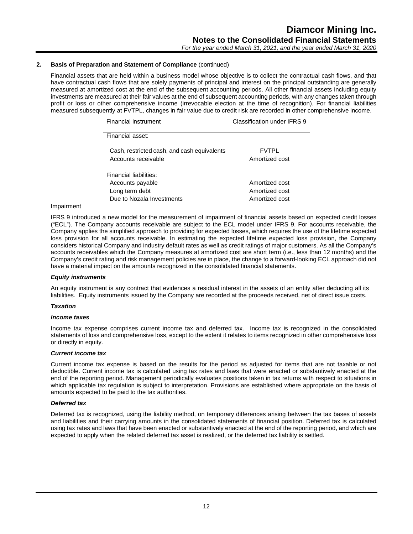*For the year ended March 31, 2021, and the year ended March 31, 2020* 

# **2. Basis of Preparation and Statement of Compliance** (continued)

Financial assets that are held within a business model whose objective is to collect the contractual cash flows, and that have contractual cash flows that are solely payments of principal and interest on the principal outstanding are generally measured at amortized cost at the end of the subsequent accounting periods. All other financial assets including equity investments are measured at their fair values at the end of subsequent accounting periods, with any changes taken through profit or loss or other comprehensive income (irrevocable election at the time of recognition). For financial liabilities measured subsequently at FVTPL, changes in fair value due to credit risk are recorded in other comprehensive income.

| Financial instrument                                               | Classification under IFRS 9    |
|--------------------------------------------------------------------|--------------------------------|
| Financial asset:                                                   |                                |
| Cash, restricted cash, and cash equivalents<br>Accounts receivable | <b>FVTPL</b><br>Amortized cost |
| Financial liabilities:                                             |                                |
| Accounts payable                                                   | Amortized cost                 |
| Long term debt                                                     | Amortized cost                 |
| Due to Nozala Investments                                          | Amortized cost                 |

#### Impairment

IFRS 9 introduced a new model for the measurement of impairment of financial assets based on expected credit losses ("ECL"). The Company accounts receivable are subject to the ECL model under IFRS 9. For accounts receivable, the Company applies the simplified approach to providing for expected losses, which requires the use of the lifetime expected loss provision for all accounts receivable. In estimating the expected lifetime expected loss provision, the Company considers historical Company and industry default rates as well as credit ratings of major customers. As all the Company's accounts receivables which the Company measures at amortized cost are short term (i.e., less than 12 months) and the Company's credit rating and risk management policies are in place, the change to a forward-looking ECL approach did not have a material impact on the amounts recognized in the consolidated financial statements.

#### *Equity instruments*

An equity instrument is any contract that evidences a residual interest in the assets of an entity after deducting all its liabilities. Equity instruments issued by the Company are recorded at the proceeds received, net of direct issue costs.

#### *Taxation*

#### *Income taxes*

Income tax expense comprises current income tax and deferred tax. Income tax is recognized in the consolidated statements of loss and comprehensive loss, except to the extent it relates to items recognized in other comprehensive loss or directly in equity.

#### *Current income tax*

Current income tax expense is based on the results for the period as adjusted for items that are not taxable or not deductible. Current income tax is calculated using tax rates and laws that were enacted or substantively enacted at the end of the reporting period. Management periodically evaluates positions taken in tax returns with respect to situations in which applicable tax regulation is subject to interpretation. Provisions are established where appropriate on the basis of amounts expected to be paid to the tax authorities.

#### *Deferred tax*

Deferred tax is recognized, using the liability method, on temporary differences arising between the tax bases of assets and liabilities and their carrying amounts in the consolidated statements of financial position. Deferred tax is calculated using tax rates and laws that have been enacted or substantively enacted at the end of the reporting period, and which are expected to apply when the related deferred tax asset is realized, or the deferred tax liability is settled.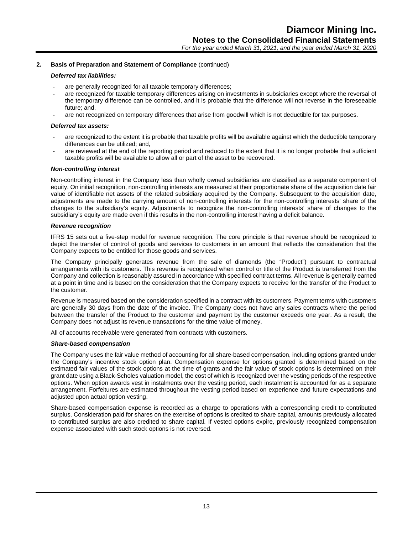#### *Deferred tax liabilities:*

- are generally recognized for all taxable temporary differences;
- are recognized for taxable temporary differences arising on investments in subsidiaries except where the reversal of the temporary difference can be controlled, and it is probable that the difference will not reverse in the foreseeable future; and,
- are not recognized on temporary differences that arise from goodwill which is not deductible for tax purposes.

#### *Deferred tax assets:*

- are recognized to the extent it is probable that taxable profits will be available against which the deductible temporary differences can be utilized; and,
- are reviewed at the end of the reporting period and reduced to the extent that it is no longer probable that sufficient taxable profits will be available to allow all or part of the asset to be recovered.

#### *Non-controlling interest*

Non-controlling interest in the Company less than wholly owned subsidiaries are classified as a separate component of equity. On initial recognition, non-controlling interests are measured at their proportionate share of the acquisition date fair value of identifiable net assets of the related subsidiary acquired by the Company. Subsequent to the acquisition date, adjustments are made to the carrying amount of non-controlling interests for the non-controlling interests' share of the changes to the subsidiary's equity. Adjustments to recognize the non-controlling interests' share of changes to the subsidiary's equity are made even if this results in the non-controlling interest having a deficit balance.

#### *Revenue recognition*

IFRS 15 sets out a five-step model for revenue recognition. The core principle is that revenue should be recognized to depict the transfer of control of goods and services to customers in an amount that reflects the consideration that the Company expects to be entitled for those goods and services.

The Company principally generates revenue from the sale of diamonds (the "Product") pursuant to contractual arrangements with its customers. This revenue is recognized when control or title of the Product is transferred from the Company and collection is reasonably assured in accordance with specified contract terms. All revenue is generally earned at a point in time and is based on the consideration that the Company expects to receive for the transfer of the Product to the customer.

Revenue is measured based on the consideration specified in a contract with its customers. Payment terms with customers are generally 30 days from the date of the invoice. The Company does not have any sales contracts where the period between the transfer of the Product to the customer and payment by the customer exceeds one year. As a result, the Company does not adjust its revenue transactions for the time value of money.

All of accounts receivable were generated from contracts with customers.

#### *Share-based compensation*

The Company uses the fair value method of accounting for all share-based compensation, including options granted under the Company's incentive stock option plan. Compensation expense for options granted is determined based on the estimated fair values of the stock options at the time of grants and the fair value of stock options is determined on their grant date using a Black-Scholes valuation model, the cost of which is recognized over the vesting periods of the respective options. When option awards vest in instalments over the vesting period, each instalment is accounted for as a separate arrangement. Forfeitures are estimated throughout the vesting period based on experience and future expectations and adjusted upon actual option vesting.

Share-based compensation expense is recorded as a charge to operations with a corresponding credit to contributed surplus. Consideration paid for shares on the exercise of options is credited to share capital, amounts previously allocated to contributed surplus are also credited to share capital. If vested options expire, previously recognized compensation expense associated with such stock options is not reversed.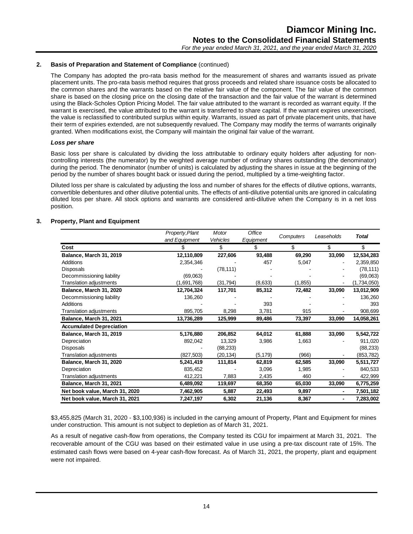*For the year ended March 31, 2021, and the year ended March 31, 2020* 

#### **2. Basis of Preparation and Statement of Compliance** (continued)

The Company has adopted the pro-rata basis method for the measurement of shares and warrants issued as private placement units. The pro-rata basis method requires that gross proceeds and related share issuance costs be allocated to the common shares and the warrants based on the relative fair value of the component. The fair value of the common share is based on the closing price on the closing date of the transaction and the fair value of the warrant is determined using the Black-Scholes Option Pricing Model. The fair value attributed to the warrant is recorded as warrant equity. If the warrant is exercised, the value attributed to the warrant is transferred to share capital. If the warrant expires unexercised, the value is reclassified to contributed surplus within equity. Warrants, issued as part of private placement units, that have their term of expiries extended, are not subsequently revalued. The Company may modify the terms of warrants originally granted. When modifications exist, the Company will maintain the original fair value of the warrant.

#### *Loss per share*

Basic loss per share is calculated by dividing the loss attributable to ordinary equity holders after adjusting for noncontrolling interests (the numerator) by the weighted average number of ordinary shares outstanding (the denominator) during the period. The denominator (number of units) is calculated by adjusting the shares in issue at the beginning of the period by the number of shares bought back or issued during the period, multiplied by a time-weighting factor.

Diluted loss per share is calculated by adjusting the loss and number of shares for the effects of dilutive options, warrants, convertible debentures and other dilutive potential units. The effects of anti-dilutive potential units are ignored in calculating diluted loss per share. All stock options and warrants are considered anti-dilutive when the Company is in a net loss position.

#### **3. Property, Plant and Equipment**

|                                 | Property, Plant | Motor          | Office          | Computers | Leaseholds | <b>Total</b> |
|---------------------------------|-----------------|----------------|-----------------|-----------|------------|--------------|
| Cost                            | and Equipment   | Vehicles<br>\$ | Equipment<br>\$ | \$        | \$         | \$           |
|                                 |                 |                |                 |           |            |              |
| Balance, March 31, 2019         | 12,110,809      | 227,606        | 93,488          | 69,290    | 33,090     | 12,534,283   |
| <b>Additions</b>                | 2,354,346       |                | 457             | 5,047     |            | 2,359,850    |
| Disposals                       |                 | (78, 111)      |                 |           |            | (78, 111)    |
| Decommissioning liability       | (69,063)        |                |                 |           |            | (69,063)     |
| <b>Translation adjustments</b>  | (1,691,768)     | (31, 794)      | (8,633)         | (1, 855)  | ۰          | (1,734,050)  |
| Balance, March 31, 2020         | 12,704,324      | 117,701        | 85,312          | 72,482    | 33,090     | 13,012,909   |
| Decommissioning liability       | 136,260         |                |                 |           |            | 136,260      |
| Additions                       |                 |                | 393             |           |            | 393          |
| <b>Translation adjustments</b>  | 895,705         | 8,298          | 3,781           | 915       |            | 908,699      |
| Balance, March 31, 2021         | 13,736,289      | 125,999        | 89,486          | 73,397    | 33,090     | 14,058,261   |
| <b>Accumulated Depreciation</b> |                 |                |                 |           |            |              |
| Balance, March 31, 2019         | 5,176,880       | 206,852        | 64,012          | 61,888    | 33,090     | 5,542,722    |
| Depreciation                    | 892,042         | 13,329         | 3,986           | 1,663     |            | 911,020      |
| <b>Disposals</b>                |                 | (88, 233)      |                 |           |            | (88, 233)    |
| <b>Translation adjustments</b>  | (827, 503)      | (20,134)       | (5, 179)        | (966)     |            | (853, 782)   |
| Balance, March 31, 2020         | 5,241,419       | 111,814        | 62,819          | 62,585    | 33,090     | 5,511,727    |
| Depreciation                    | 835,452         |                | 3,096           | 1,985     |            | 840,533      |
| <b>Translation adjustments</b>  | 412,221         | 7,883          | 2,435           | 460       |            | 422,999      |
| Balance, March 31, 2021         | 6,489,092       | 119,697        | 68,350          | 65,030    | 33,090     | 6,775,259    |
| Net book value, March 31, 2020  | 7,462,905       | 5,887          | 22,493          | 9,897     | ٠          | 7,501,182    |
| Net book value, March 31, 2021  | 7,247,197       | 6,302          | 21,136          | 8,367     |            | 7,283,002    |

\$3,455,825 (March 31, 2020 - \$3,100,936) is included in the carrying amount of Property, Plant and Equipment for mines under construction. This amount is not subject to depletion as of March 31, 2021.

As a result of negative cash-flow from operations, the Company tested its CGU for impairment at March 31, 2021. The recoverable amount of the CGU was based on their estimated value in use using a pre-tax discount rate of 15%. The estimated cash flows were based on 4-year cash-flow forecast. As of March 31, 2021, the property, plant and equipment were not impaired.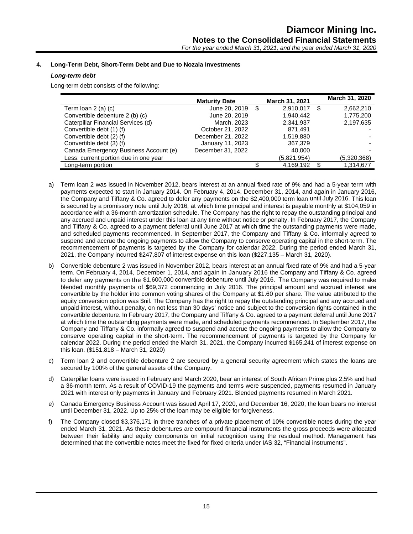#### **4. Long-Term Debt, Short-Term Debt and Due to Nozala Investments**

#### *Long-term debt*

Long-term debt consists of the following:

|                                       | <b>Maturity Date</b> | March 31, 2021  |   | March 31, 2020 |
|---------------------------------------|----------------------|-----------------|---|----------------|
| Term Ioan 2 (a) (c)                   | June 20, 2019        | \$<br>2.910.017 | S | 2.662.210      |
| Convertible debenture 2 (b) (c)       | June 20, 2019        | 1.940.442       |   | 1,775,200      |
| Caterpillar Financial Services (d)    | March, 2023          | 2.341.937       |   | 2,197,635      |
| Convertible debt (1) (f)              | October 21, 2022     | 871.491         |   |                |
| Convertible debt (2) (f)              | December 21, 2022    | 1,519,880       |   |                |
| Convertible debt (3) (f)              | January 11, 2023     | 367.379         |   |                |
| Canada Emergency Business Account (e) | December 31, 2022    | 40,000          |   |                |
| Less: current portion due in one year |                      | (5,821,954)     |   | (5,320,368)    |
| Long-term portion                     |                      | 4,169,192       |   | 1,314,677      |

- a) Term loan 2 was issued in November 2012, bears interest at an annual fixed rate of 9% and had a 5-year term with payments expected to start in January 2014. On February 4, 2014, December 31, 2014, and again in January 2016, the Company and Tiffany & Co. agreed to defer any payments on the \$2,400,000 term loan until July 2016. This loan is secured by a promissory note until July 2016, at which time principal and interest is payable monthly at \$104,059 in accordance with a 36-month amortization schedule. The Company has the right to repay the outstanding principal and any accrued and unpaid interest under this loan at any time without notice or penalty. In February 2017, the Company and Tiffany & Co. agreed to a payment deferral until June 2017 at which time the outstanding payments were made, and scheduled payments recommenced. In September 2017, the Company and Tiffany & Co. informally agreed to suspend and accrue the ongoing payments to allow the Company to conserve operating capital in the short-term. The recommencement of payments is targeted by the Company for calendar 2022. During the period ended March 31, 2021, the Company incurred \$247,807 of interest expense on this loan (\$227,135 – March 31, 2020).
- b) Convertible debenture 2 was issued in November 2012, bears interest at an annual fixed rate of 9% and had a 5-year term. On February 4, 2014, December 1, 2014, and again in January 2016 the Company and Tiffany & Co. agreed to defer any payments on the \$1,600,000 convertible debenture until July 2016. The Company was required to make blended monthly payments of \$69,372 commencing in July 2016. The principal amount and accrued interest are convertible by the holder into common voting shares of the Company at \$1.60 per share. The value attributed to the equity conversion option was \$nil. The Company has the right to repay the outstanding principal and any accrued and unpaid interest, without penalty, on not less than 30 days' notice and subject to the conversion rights contained in the convertible debenture. In February 2017, the Company and Tiffany & Co. agreed to a payment deferral until June 2017 at which time the outstanding payments were made, and scheduled payments recommenced. In September 2017, the Company and Tiffany & Co. informally agreed to suspend and accrue the ongoing payments to allow the Company to conserve operating capital in the short-term. The recommencement of payments is targeted by the Company for calendar 2022. During the period ended the March 31, 2021, the Company incurred \$165,241 of interest expense on this loan. (\$151,818 – March 31, 2020)
- c) Term loan 2 and convertible debenture 2 are secured by a general security agreement which states the loans are secured by 100% of the general assets of the Company.
- d) Caterpillar loans were issued in February and March 2020, bear an interest of South African Prime plus 2.5% and had a 36-month term. As a result of COVID-19 the payments and terms were suspended, payments resumed in January 2021 with interest only payments in January and February 2021. Blended payments resumed in March 2021.
- e) Canada Emergency Business Account was issued April 17, 2020, and December 16, 2020, the loan bears no interest until December 31, 2022. Up to 25% of the loan may be eligible for forgiveness.
- f) The Company closed \$3,376,171 in three tranches of a private placement of 10% convertible notes during the year ended March 31, 2021. As these debentures are compound financial instruments the gross proceeds were allocated between their liability and equity components on initial recognition using the residual method. Management has determined that the convertible notes meet the fixed for fixed criteria under IAS 32, "Financial instruments".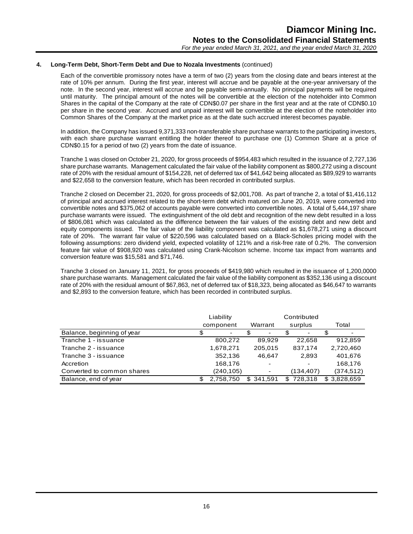#### **4. Long-Term Debt, Short-Term Debt and Due to Nozala Investments** (continued)

Each of the convertible promissory notes have a term of two (2) years from the closing date and bears interest at the rate of 10% per annum. During the first year, interest will accrue and be payable at the one-year anniversary of the note. In the second year, interest will accrue and be payable semi-annually. No principal payments will be required until maturity. The principal amount of the notes will be convertible at the election of the noteholder into Common Shares in the capital of the Company at the rate of CDN\$0.07 per share in the first year and at the rate of CDN\$0.10 per share in the second year. Accrued and unpaid interest will be convertible at the election of the noteholder into Common Shares of the Company at the market price as at the date such accrued interest becomes payable.

In addition, the Company has issued 9,371,333 non-transferable share purchase warrants to the participating investors, with each share purchase warrant entitling the holder thereof to purchase one (1) Common Share at a price of CDN\$0.15 for a period of two (2) years from the date of issuance.

Tranche 1 was closed on October 21, 2020, for gross proceeds of \$954,483 which resulted in the issuance of 2,727,136 share purchase warrants. Management calculated the fair value of the liability component as \$800,272 using a discount rate of 20% with the residual amount of \$154,228, net of deferred tax of \$41,642 being allocated as \$89,929 to warrants and \$22,658 to the conversion feature, which has been recorded in contributed surplus.

Tranche 2 closed on December 21, 2020, for gross proceeds of \$2,001,708. As part of tranche 2, a total of \$1,416,112 of principal and accrued interest related to the short-term debt which matured on June 20, 2019, were converted into convertible notes and \$375,062 of accounts payable were converted into convertible notes. A total of 5,444,197 share purchase warrants were issued. The extinguishment of the old debt and recognition of the new debt resulted in a loss of \$806,081 which was calculated as the difference between the fair values of the existing debt and new debt and equity components issued. The fair value of the liability component was calculated as \$1,678,271 using a discount rate of 20%. The warrant fair value of \$220,596 was calculated based on a Black-Scholes pricing model with the following assumptions: zero dividend yield, expected volatility of 121% and a risk-free rate of 0.2%. The conversion feature fair value of \$908,920 was calculated using Crank-Nicolson scheme. Income tax impact from warrants and conversion feature was \$15,581 and \$71,746.

Tranche 3 closed on January 11, 2021, for gross proceeds of \$419,980 which resulted in the issuance of 1,200,0000 share purchase warrants. Management calculated the fair value of the liability component as \$352,136 using a discount rate of 20% with the residual amount of \$67,863, net of deferred tax of \$18,323, being allocated as \$46,647 to warrants and \$2,893 to the conversion feature, which has been recorded in contributed surplus.

|                            | Liability |           |    | Contributed |     |                          |  |             |
|----------------------------|-----------|-----------|----|-------------|-----|--------------------------|--|-------------|
|                            |           | component |    | Warrant     |     | surplus                  |  | Total       |
| Balance, beginning of year | \$        | ۰.        | \$ |             |     | $\overline{\phantom{a}}$ |  |             |
| Tranche 1 - issuance       |           | 800,272   |    | 89.929      |     | 22,658                   |  | 912,859     |
| Tranche 2 - issuance       |           | 1,678,271 |    | 205,015     |     | 837,174                  |  | 2,720,460   |
| Tranche 3 - issuance       |           | 352,136   |    | 46.647      |     | 2,893                    |  | 401,676     |
| Accretion                  |           | 168,176   |    | -           |     | $\overline{\phantom{a}}$ |  | 168,176     |
| Converted to common shares |           | (240,105) |    | ٠           |     | (134,407)                |  | (374, 512)  |
| Balance, end of year       | S         | 2,758,750 |    | \$341.591   | \$. | 728.318                  |  | \$3,828,659 |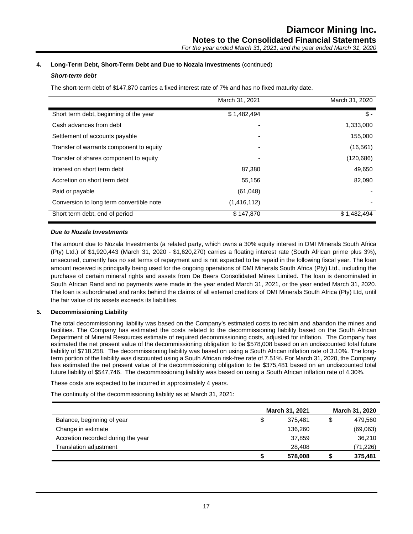# **4. Long-Term Debt, Short-Term Debt and Due to Nozala Investments** (continued)

# *Short-term debt*

The short-term debt of \$147,870 carries a fixed interest rate of 7% and has no fixed maturity date.

|                                          | March 31, 2021 | March 31, 2020  |
|------------------------------------------|----------------|-----------------|
| Short term debt, beginning of the year   | \$1,482,494    | $\mathsf{\$}$ - |
| Cash advances from debt                  |                | 1,333,000       |
| Settlement of accounts payable           |                | 155,000         |
| Transfer of warrants component to equity |                | (16, 561)       |
| Transfer of shares component to equity   |                | (120, 686)      |
| Interest on short term debt              | 87,380         | 49,650          |
| Accretion on short term debt             | 55,156         | 82,090          |
| Paid or payable                          | (61,048)       |                 |
| Conversion to long term convertible note | (1,416,112)    |                 |
| Short term debt, end of period           | \$147,870      | \$1,482,494     |

## *Due to Nozala Investments*

The amount due to Nozala Investments (a related party, which owns a 30% equity interest in DMI Minerals South Africa (Pty) Ltd.) of \$1,920,443 (March 31, 2020 - \$1,620,270) carries a floating interest rate (South African prime plus 3%), unsecured, currently has no set terms of repayment and is not expected to be repaid in the following fiscal year. The loan amount received is principally being used for the ongoing operations of DMI Minerals South Africa (Pty) Ltd., including the purchase of certain mineral rights and assets from De Beers Consolidated Mines Limited. The loan is denominated in South African Rand and no payments were made in the year ended March 31, 2021, or the year ended March 31, 2020. The loan is subordinated and ranks behind the claims of all external creditors of DMI Minerals South Africa (Pty) Ltd, until the fair value of its assets exceeds its liabilities.

## **5. Decommissioning Liability**

The total decommissioning liability was based on the Company's estimated costs to reclaim and abandon the mines and facilities. The Company has estimated the costs related to the decommissioning liability based on the South African Department of Mineral Resources estimate of required decommissioning costs, adjusted for inflation. The Company has estimated the net present value of the decommissioning obligation to be \$578,008 based on an undiscounted total future liability of \$718,258. The decommissioning liability was based on using a South African inflation rate of 3.10%. The longterm portion of the liability was discounted using a South African risk-free rate of 7.51%. For March 31, 2020, the Company has estimated the net present value of the decommissioning obligation to be \$375,481 based on an undiscounted total future liability of \$547,746. The decommissioning liability was based on using a South African inflation rate of 4.30%.

These costs are expected to be incurred in approximately 4 years.

The continuity of the decommissioning liability as at March 31, 2021:

|                                    | March 31, 2021 |   | March 31, 2020 |
|------------------------------------|----------------|---|----------------|
| Balance, beginning of year         | \$<br>375.481  | S | 479,560        |
| Change in estimate                 | 136,260        |   | (69,063)       |
| Accretion recorded during the year | 37,859         |   | 36,210         |
| Translation adjustment             | 28,408         |   | (71, 226)      |
|                                    | 578,008        |   | 375,481        |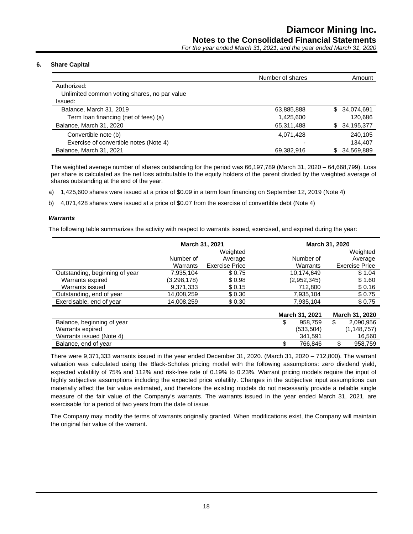*For the year ended March 31, 2021, and the year ended March 31, 2020* 

# **6. Share Capital**

|                                              | Number of shares | Amount            |
|----------------------------------------------|------------------|-------------------|
| Authorized:                                  |                  |                   |
| Unlimited common voting shares, no par value |                  |                   |
| Issued:                                      |                  |                   |
| Balance, March 31, 2019                      | 63,885,888       | \$ 34,074,691     |
| Term loan financing (net of fees) (a)        | 1,425,600        | 120,686           |
| Balance, March 31, 2020                      | 65,311,488       | 34,195,377<br>S   |
| Convertible note (b)                         | 4,071,428        | 240.105           |
| Exercise of convertible notes (Note 4)       |                  | 134,407           |
| Balance, March 31, 2021                      | 69,382,916       | 34,569,889<br>\$. |

The weighted average number of shares outstanding for the period was 66,197,789 (March 31, 2020 – 64,668,799). Loss per share is calculated as the net loss attributable to the equity holders of the parent divided by the weighted average of shares outstanding at the end of the year.

a) 1,425,600 shares were issued at a price of \$0.09 in a term loan financing on September 12, 2019 (Note 4)

b) 4,071,428 shares were issued at a price of \$0.07 from the exercise of convertible debt (Note 4)

#### *Warrants*

The following table summarizes the activity with respect to warrants issued, exercised, and expired during the year:

|                                | <b>March 31, 2021</b> |                       |   |                       | <b>March 31, 2020</b> |                       |
|--------------------------------|-----------------------|-----------------------|---|-----------------------|-----------------------|-----------------------|
|                                | Weighted              |                       |   |                       |                       | Weighted              |
|                                | Number of             | Average               |   | Number of             |                       | Average               |
|                                | Warrants              | <b>Exercise Price</b> |   | Warrants              |                       | <b>Exercise Price</b> |
| Outstanding, beginning of year | 7,935,104             | \$0.75                |   | 10.174.649            |                       | \$1.04                |
| Warrants expired               | (3,298,178)           | \$0.98                |   | (2,952,345)           |                       | \$1.60                |
| Warrants issued                | 9,371,333             | \$0.15                |   | 712,800               |                       | \$0.16                |
| Outstanding, end of year       | 14,008,259            | \$0.30                |   | 7.935.104             |                       | \$0.75                |
| Exercisable, end of year       | 14,008,259            | \$0.30                |   | 7,935,104             |                       | \$0.75                |
|                                |                       |                       |   | <b>March 31, 2021</b> |                       | <b>March 31, 2020</b> |
| Balance, beginning of year     |                       |                       | S | 958.759               | \$                    | 2.090.956             |
| Warrants expired               |                       |                       |   | (533, 504)            |                       | (1, 148, 757)         |
| Warrants issued (Note 4)       |                       |                       |   | 341,591               |                       | 16,560                |
| Balance, end of year           |                       |                       |   | 766.846               | \$                    | 958.759               |

There were 9,371,333 warrants issued in the year ended December 31, 2020. (March 31, 2020 – 712,800). The warrant valuation was calculated using the Black-Scholes pricing model with the following assumptions: zero dividend yield, expected volatility of 75% and 112% and risk-free rate of 0.19% to 0.23%. Warrant pricing models require the input of highly subjective assumptions including the expected price volatility. Changes in the subjective input assumptions can materially affect the fair value estimated, and therefore the existing models do not necessarily provide a reliable single measure of the fair value of the Company's warrants. The warrants issued in the year ended March 31, 2021, are exercisable for a period of two years from the date of issue.

The Company may modify the terms of warrants originally granted. When modifications exist, the Company will maintain the original fair value of the warrant.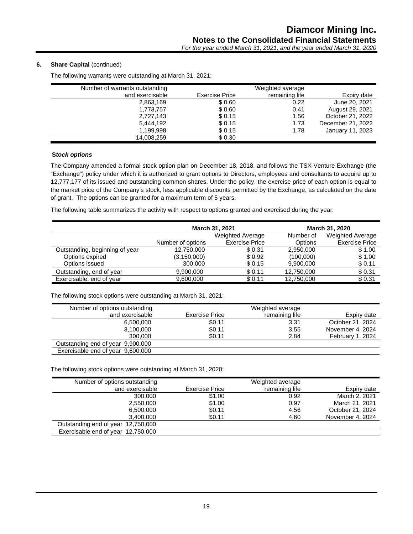## **6.** Share Capital (continued)

| Number of warrants outstanding |                       | Weighted average |                   |
|--------------------------------|-----------------------|------------------|-------------------|
| and exercisable                | <b>Exercise Price</b> | remaining life   | Expiry date       |
| 2,863,169                      | \$0.60                | 0.22             | June 20, 2021     |
| 1,773,757                      | \$0.60                | 0.41             | August 29, 2021   |
| 2,727,143                      | \$0.15                | 1.56             | October 21, 2022  |
| 5,444,192                      | \$0.15                | 1.73             | December 21, 2022 |
| 1,199,998                      | \$0.15                | 1.78             | January 11, 2023  |
| 14,008,259                     | \$0.30                |                  |                   |

The following warrants were outstanding at March 31, 2021:

#### **S***tock options*

The Company amended a formal stock option plan on December 18, 2018, and follows the TSX Venture Exchange (the "Exchange") policy under which it is authorized to grant options to Directors, employees and consultants to acquire up to 12,777,177 of its issued and outstanding common shares. Under the policy, the exercise price of each option is equal to the market price of the Company's stock, less applicable discounts permitted by the Exchange, as calculated on the date of grant. The options can be granted for a maximum term of 5 years.

The following table summarizes the activity with respect to options granted and exercised during the year:

|                                | March 31, 2021                                                        |        |                             | <b>March 31, 2020</b>                            |
|--------------------------------|-----------------------------------------------------------------------|--------|-----------------------------|--------------------------------------------------|
|                                | <b>Weighted Average</b><br><b>Exercise Price</b><br>Number of options |        | Number of<br><b>Options</b> | <b>Weighted Average</b><br><b>Exercise Price</b> |
| Outstanding, beginning of year | 12.750.000                                                            | \$0.31 | 2.950.000                   | \$1.00                                           |
| Options expired                | (3, 150, 000)                                                         | \$0.92 | (100,000)                   | \$1.00                                           |
| Options issued                 | 300,000                                                               | \$0.15 | 9,900,000                   | \$0.11                                           |
| Outstanding, end of year       | 9,900,000                                                             | \$0.11 | 12,750,000                  | \$0.31                                           |
| Exercisable, end of year       | 9.600.000                                                             | \$0.11 | 12,750,000                  | \$0.31                                           |

The following stock options were outstanding at March 31, 2021:

| Number of options outstanding     |                | Weighted average |                  |
|-----------------------------------|----------------|------------------|------------------|
| and exercisable                   | Exercise Price | remaining life   | Expiry date      |
| 6.500.000                         | \$0.11         | 3.31             | October 21, 2024 |
| 3,100,000                         | \$0.11         | 3.55             | November 4, 2024 |
| 300,000                           | \$0.11         | 2.84             | February 1, 2024 |
| Outstanding end of year 9,900,000 |                |                  |                  |
| Exercisable end of year 9,600,000 |                |                  |                  |

The following stock options were outstanding at March 31, 2020:

| Number of options outstanding      |                | Weighted average |                  |
|------------------------------------|----------------|------------------|------------------|
| and exercisable                    | Exercise Price | remaining life   | Expiry date      |
| 300,000                            | \$1.00         | 0.92             | March 2, 2021    |
| 2,550,000                          | \$1.00         | 0.97             | March 21, 2021   |
| 6,500,000                          | \$0.11         | 4.56             | October 21, 2024 |
| 3,400,000                          | \$0.11         | 4.60             | November 4, 2024 |
| Outstanding end of year 12,750,000 |                |                  |                  |
| Exercisable end of year 12,750,000 |                |                  |                  |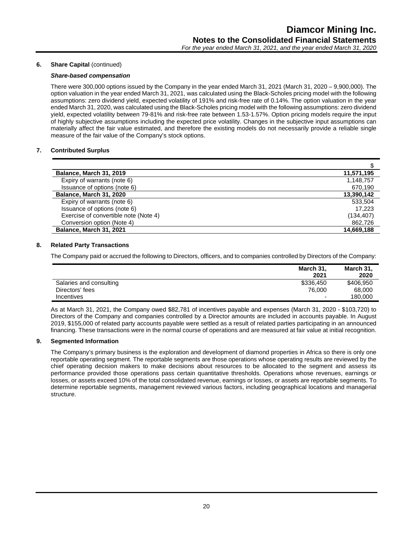#### **6.** Share Capital (continued)

#### *Share-based compensation*

There were 300,000 options issued by the Company in the year ended March 31, 2021 (March 31, 2020 – 9,900,000). The option valuation in the year ended March 31, 2021, was calculated using the Black-Scholes pricing model with the following assumptions: zero dividend yield, expected volatility of 191% and risk-free rate of 0.14%. The option valuation in the year ended March 31, 2020, was calculated using the Black-Scholes pricing model with the following assumptions: zero dividend yield, expected volatility between 79-81% and risk-free rate between 1.53-1.57%. Option pricing models require the input of highly subjective assumptions including the expected price volatility. Changes in the subjective input assumptions can materially affect the fair value estimated, and therefore the existing models do not necessarily provide a reliable single measure of the fair value of the Company's stock options.

#### **7. Contributed Surplus**

| <b>Balance, March 31, 2019</b>        | 11,571,195 |
|---------------------------------------|------------|
| Expiry of warrants (note 6)           | 1,148,757  |
| Issuance of options (note 6)          | 670,190    |
| Balance, March 31, 2020               | 13,390,142 |
| Expiry of warrants (note 6)           | 533.504    |
| Issuance of options (note 6)          | 17.223     |
| Exercise of convertible note (Note 4) | (134, 407) |
| Conversion option (Note 4)            | 862.726    |
| Balance, March 31, 2021               | 14,669,188 |

#### **8. Related Party Transactions**

The Company paid or accrued the following to Directors, officers, and to companies controlled by Directors of the Company:

|                         | March 31,<br>2021        | March 31,<br>2020 |
|-------------------------|--------------------------|-------------------|
| Salaries and consulting | \$336,450                | \$406,950         |
| Directors' fees         | 76,000                   | 68,000            |
| <b>Incentives</b>       | $\overline{\phantom{0}}$ | 180,000           |

As at March 31, 2021, the Company owed \$82,781 of incentives payable and expenses (March 31, 2020 - \$103,720) to Directors of the Company and companies controlled by a Director amounts are included in accounts payable. In August 2019, \$155,000 of related party accounts payable were settled as a result of related parties participating in an announced financing. These transactions were in the normal course of operations and are measured at fair value at initial recognition.

#### **9. Segmented Information**

The Company's primary business is the exploration and development of diamond properties in Africa so there is only one reportable operating segment. The reportable segments are those operations whose operating results are reviewed by the chief operating decision makers to make decisions about resources to be allocated to the segment and assess its performance provided those operations pass certain quantitative thresholds. Operations whose revenues, earnings or losses, or assets exceed 10% of the total consolidated revenue, earnings or losses, or assets are reportable segments. To determine reportable segments, management reviewed various factors, including geographical locations and managerial structure.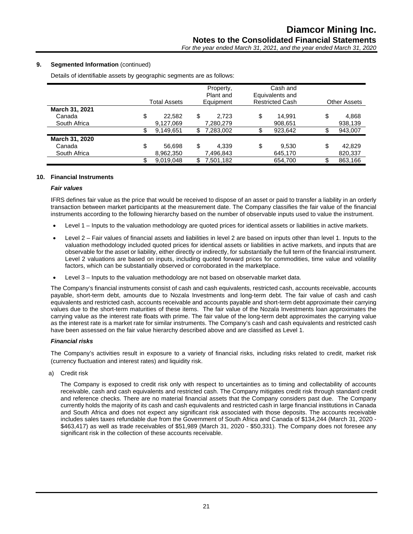#### **9.** Segmented Information (continued)

Details of identifiable assets by geographic segments are as follows:

|                | Total Assets |     | Property,<br>Plant and<br>Equipment | Cash and<br>Equivalents and<br><b>Restricted Cash</b> | <b>Other Assets</b> |
|----------------|--------------|-----|-------------------------------------|-------------------------------------------------------|---------------------|
| March 31, 2021 |              |     |                                     |                                                       |                     |
| Canada         | \$<br>22.582 | \$  | 2.723                               | \$<br>14.991                                          | \$<br>4,868         |
| South Africa   | 9,127,069    |     | 7,280,279                           | 908,651                                               | 938,139             |
|                | 9,149,651    | \$. | 7.283.002                           | 923.642                                               | 943.007             |
| March 31, 2020 |              |     |                                     |                                                       |                     |
| Canada         | \$<br>56.698 | \$  | 4.339                               | \$<br>9,530                                           | \$<br>42,829        |
| South Africa   | 8,962,350    |     | 7,496,843                           | 645,170                                               | 820,337             |
|                | 9,019,048    |     | 7,501,182                           | 654,700                                               | 863,166             |

#### **10. Financial Instruments**

#### *Fair values*

IFRS defines fair value as the price that would be received to dispose of an asset or paid to transfer a liability in an orderly transaction between market participants at the measurement date. The Company classifies the fair value of the financial instruments according to the following hierarchy based on the number of observable inputs used to value the instrument.

- Level 1 Inputs to the valuation methodology are quoted prices for identical assets or liabilities in active markets.
- Level 2 Fair values of financial assets and liabilities in level 2 are based on inputs other than level 1. Inputs to the valuation methodology included quoted prices for identical assets or liabilities in active markets, and inputs that are observable for the asset or liability, either directly or indirectly, for substantially the full term of the financial instrument. Level 2 valuations are based on inputs, including quoted forward prices for commodities, time value and volatility factors, which can be substantially observed or corroborated in the marketplace.
- Level 3 Inputs to the valuation methodology are not based on observable market data.

The Company's financial instruments consist of cash and cash equivalents, restricted cash, accounts receivable, accounts payable, short-term debt, amounts due to Nozala Investments and long-term debt. The fair value of cash and cash equivalents and restricted cash, accounts receivable and accounts payable and short-term debt approximate their carrying values due to the short-term maturities of these items. The fair value of the Nozala Investments loan approximates the carrying value as the interest rate floats with prime. The fair value of the long-term debt approximates the carrying value as the interest rate is a market rate for similar instruments. The Company's cash and cash equivalents and restricted cash have been assessed on the fair value hierarchy described above and are classified as Level 1.

#### *Financial risks*

The Company's activities result in exposure to a variety of financial risks, including risks related to credit, market risk (currency fluctuation and interest rates) and liquidity risk.

a) Credit risk

The Company is exposed to credit risk only with respect to uncertainties as to timing and collectability of accounts receivable, cash and cash equivalents and restricted cash. The Company mitigates credit risk through standard credit and reference checks. There are no material financial assets that the Company considers past due. The Company currently holds the majority of its cash and cash equivalents and restricted cash in large financial institutions in Canada and South Africa and does not expect any significant risk associated with those deposits. The accounts receivable includes sales taxes refundable due from the Government of South Africa and Canada of \$134,244 (March 31, 2020 - \$463,417) as well as trade receivables of \$51,989 (March 31, 2020 - \$50,331). The Company does not foresee any significant risk in the collection of these accounts receivable.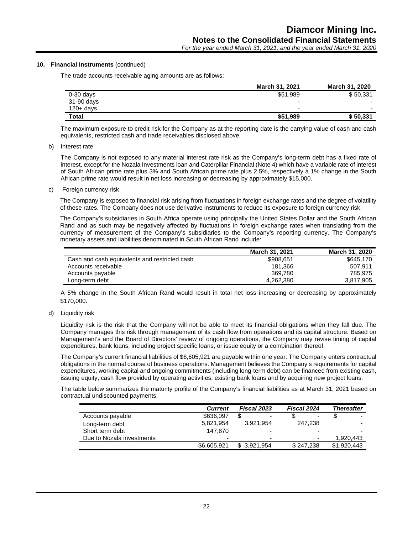*For the year ended March 31, 2021, and the year ended March 31, 2020* 

#### **10. Financial Instruments** (continued)

The trade accounts receivable aging amounts are as follows:

| \$51,989                 | \$50,331                 |
|--------------------------|--------------------------|
| $\overline{\phantom{0}}$ | $\overline{\phantom{0}}$ |
| $\overline{\phantom{0}}$ | $\overline{\phantom{0}}$ |
| \$51,989                 | \$50,331                 |
|                          |                          |

The maximum exposure to credit risk for the Company as at the reporting date is the carrying value of cash and cash equivalents, restricted cash and trade receivables disclosed above.

#### b) Interest rate

The Company is not exposed to any material interest rate risk as the Company's long-term debt has a fixed rate of interest, except for the Nozala Investments loan and Caterpillar Financial (Note 4) which have a variable rate of interest of South African prime rate plus 3% and South African prime rate plus 2.5%, respectively a 1% change in the South African prime rate would result in net loss increasing or decreasing by approximately \$15,000.

c) Foreign currency risk

The Company is exposed to financial risk arising from fluctuations in foreign exchange rates and the degree of volatility of these rates. The Company does not use derivative instruments to reduce its exposure to foreign currency risk.

The Company's subsidiaries in South Africa operate using principally the United States Dollar and the South African Rand and as such may be negatively affected by fluctuations in foreign exchange rates when translating from the currency of measurement of the Company's subsidiaries to the Company's reporting currency. The Company's monetary assets and liabilities denominated in South African Rand include:

|                                               | March 31, 2021 | March 31, 2020 |
|-----------------------------------------------|----------------|----------------|
| Cash and cash equivalents and restricted cash | \$908.651      | \$645,170      |
| Accounts receivable                           | 181.366        | 507.911        |
| Accounts payable                              | 369.780        | 785.975        |
| Long-term debt                                | 4.262.380      | 3,817,905      |

A 5% change in the South African Rand would result in total net loss increasing or decreasing by approximately \$170,000.

d) Liquidity risk

Liquidity risk is the risk that the Company will not be able to meet its financial obligations when they fall due. The Company manages this risk through management of its cash flow from operations and its capital structure. Based on Management's and the Board of Directors' review of ongoing operations, the Company may revise timing of capital expenditures, bank loans, including project specific loans, or issue equity or a combination thereof.

The Company's current financial liabilities of \$6,605,921 are payable within one year. The Company enters contractual obligations in the normal course of business operations. Management believes the Company's requirements for capital expenditures, working capital and ongoing commitments (including long-term debt) can be financed from existing cash, issuing equity, cash flow provided by operating activities, existing bank loans and by acquiring new project loans.

The table below summarizes the maturity profile of the Company's financial liabilities as at March 31, 2021 based on contractual undiscounted payments:

|                           | <b>Current</b> | <b>Fiscal 2023</b> | <b>Fiscal 2024</b> | <b>Thereafter</b> |
|---------------------------|----------------|--------------------|--------------------|-------------------|
| Accounts payable          | \$636,097      | \$<br>-            | ۰                  |                   |
| Long-term debt            | 5,821,954      | 3.921.954          | 247.238            |                   |
| Short term debt           | 147.870        |                    | -                  |                   |
| Due to Nozala investments | -              | -                  | ۰                  | 1.920.443         |
|                           | \$6,605,921    | \$3.921.954        | \$247.238          | \$1,920,443       |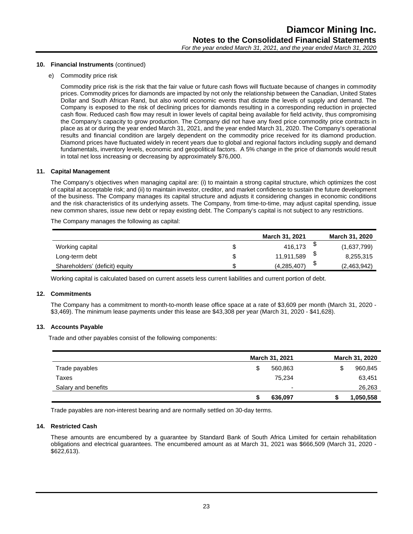#### **10. Financial Instruments** (continued)

e) Commodity price risk

Commodity price risk is the risk that the fair value or future cash flows will fluctuate because of changes in commodity prices. Commodity prices for diamonds are impacted by not only the relationship between the Canadian, United States Dollar and South African Rand, but also world economic events that dictate the levels of supply and demand. The Company is exposed to the risk of declining prices for diamonds resulting in a corresponding reduction in projected cash flow. Reduced cash flow may result in lower levels of capital being available for field activity, thus compromising the Company's capacity to grow production. The Company did not have any fixed price commodity price contracts in place as at or during the year ended March 31, 2021, and the year ended March 31, 2020. The Company's operational results and financial condition are largely dependent on the commodity price received for its diamond production. Diamond prices have fluctuated widely in recent years due to global and regional factors including supply and demand fundamentals, inventory levels, economic and geopolitical factors. A 5% change in the price of diamonds would result in total net loss increasing or decreasing by approximately \$76,000.

#### **11. Capital Management**

The Company's objectives when managing capital are: (i) to maintain a strong capital structure, which optimizes the cost of capital at acceptable risk; and (ii) to maintain investor, creditor, and market confidence to sustain the future development of the business. The Company manages its capital structure and adjusts it considering changes in economic conditions and the risk characteristics of its underlying assets. The Company, from time-to-time, may adjust capital spending, issue new common shares, issue new debt or repay existing debt. The Company's capital is not subject to any restrictions.

The Company manages the following as capital:

|                                | <b>March 31, 2021</b> | <b>March 31, 2020</b> |
|--------------------------------|-----------------------|-----------------------|
| Working capital                | 416,173               | (1,637,799)           |
| Long-term debt                 | 11,911,589            | 8,255,315             |
| Shareholders' (deficit) equity | (4, 285, 407)         | (2,463,942)           |

Working capital is calculated based on current assets less current liabilities and current portion of debt.

#### **12. Commitments**

The Company has a commitment to month-to-month lease office space at a rate of \$3,609 per month (March 31, 2020 - \$3,469). The minimum lease payments under this lease are \$43,308 per year (March 31, 2020 - \$41,628).

#### **13. Accounts Payable**

Trade and other payables consist of the following components:

|                     | March 31, 2021 |                          | <b>March 31, 2020</b> |  |  |
|---------------------|----------------|--------------------------|-----------------------|--|--|
| Trade payables      | \$             | 560,863                  | \$<br>960,845         |  |  |
| Taxes               |                | 75,234                   | 63,451                |  |  |
| Salary and benefits |                | $\overline{\phantom{0}}$ | 26,263                |  |  |
|                     |                | 636,097                  | 1,050,558             |  |  |

Trade payables are non-interest bearing and are normally settled on 30-day terms.

## **14. Restricted Cash**

These amounts are encumbered by a guarantee by Standard Bank of South Africa Limited for certain rehabilitation obligations and electrical guarantees. The encumbered amount as at March 31, 2021 was \$666,509 (March 31, 2020 - \$622,613).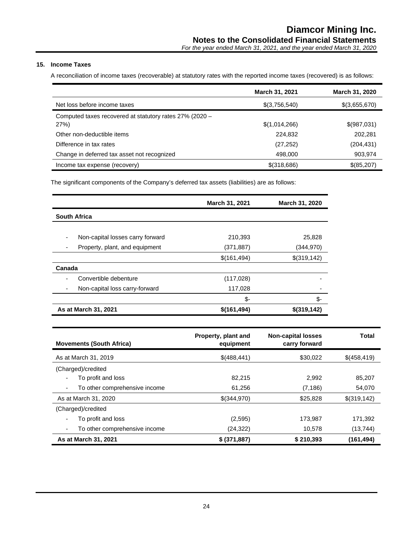# **15. Income Taxes**

A reconciliation of income taxes (recoverable) at statutory rates with the reported income taxes (recovered) is as follows:

|                                                                 | March 31, 2021 | March 31, 2020 |
|-----------------------------------------------------------------|----------------|----------------|
| Net loss before income taxes                                    | \$(3,756,540)  | \$(3,655,670)  |
| Computed taxes recovered at statutory rates 27% (2020 -<br>27%) | \$(1,014,266)  | \$(987,031)    |
| Other non-deductible items                                      | 224,832        | 202,281        |
| Difference in tax rates                                         | (27, 252)      | (204,431)      |
| Change in deferred tax asset not recognized                     | 498,000        | 903,974        |
| Income tax expense (recovery)                                   | \$(318,686)    | \$(85,207)     |

The significant components of the Company's deferred tax assets (liabilities) are as follows:

|                                  | March 31, 2021 | March 31, 2020 |
|----------------------------------|----------------|----------------|
| <b>South Africa</b>              |                |                |
| Non-capital losses carry forward | 210,393        | 25,828         |
| Property, plant, and equipment   | (371,887)      | (344,970)      |
|                                  | \$(161,494)    | \$(319, 142)   |
| Canada                           |                |                |
| Convertible debenture            | (117, 028)     |                |
| Non-capital loss carry-forward   | 117,028        |                |
|                                  | \$-            | \$-            |
| As at March 31, 2021             | \$(161,494)    | $$$ (319,142)  |

| <b>Movements (South Africa)</b>                | Property, plant and<br>equipment | <b>Non-capital losses</b><br>carry forward | Total        |
|------------------------------------------------|----------------------------------|--------------------------------------------|--------------|
| As at March 31, 2019                           | \$ (488, 441)                    | \$30,022                                   | \$(458,419)  |
| (Charged)/credited                             |                                  |                                            |              |
| To profit and loss<br>۰                        | 82,215                           | 2,992                                      | 85,207       |
| To other comprehensive income<br>٠             | 61,256                           | (7, 186)                                   | 54,070       |
| As at March 31, 2020                           | \$(344,970)                      | \$25,828                                   | \$(319, 142) |
| (Charged)/credited                             |                                  |                                            |              |
| To profit and loss<br>$\overline{\phantom{a}}$ | (2,595)                          | 173.987                                    | 171.392      |
| To other comprehensive income<br>۰             | (24, 322)                        | 10,578                                     | (13,744)     |
| As at March 31, 2021                           | \$ (371,887)                     | \$210,393                                  | (161,494)    |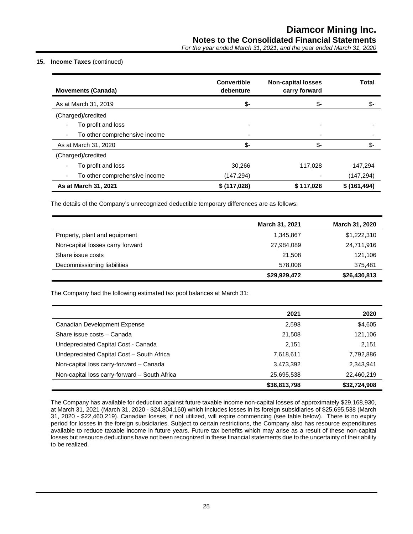*For the year ended March 31, 2021, and the year ended March 31, 2020* 

#### **15. Income Taxes** (continued)

| <b>Movements (Canada)</b>                                 | <b>Convertible</b><br>debenture | <b>Non-capital losses</b><br>carry forward | Total        |
|-----------------------------------------------------------|---------------------------------|--------------------------------------------|--------------|
| As at March 31, 2019                                      | \$-                             | \$-                                        | \$-          |
| (Charged)/credited                                        |                                 |                                            |              |
| To profit and loss                                        |                                 |                                            |              |
| To other comprehensive income<br>$\overline{\phantom{a}}$ |                                 |                                            |              |
| As at March 31, 2020                                      | \$-                             | \$-                                        | \$-          |
| (Charged)/credited                                        |                                 |                                            |              |
| To profit and loss<br>$\blacksquare$                      | 30.266                          | 117.028                                    | 147.294      |
| To other comprehensive income<br>۰                        | (147, 294)                      |                                            | (147,294)    |
| As at March 31, 2021                                      | \$(117,028)                     | \$117,028                                  | \$(161, 494) |

The details of the Company's unrecognized deductible temporary differences are as follows:

|                                  | March 31, 2021 | March 31, 2020 |
|----------------------------------|----------------|----------------|
| Property, plant and equipment    | 1,345,867      | \$1,222,310    |
| Non-capital losses carry forward | 27,984,089     | 24,711,916     |
| Share issue costs                | 21,508         | 121,106        |
| Decommissioning liabilities      | 578,008        | 375,481        |
|                                  | \$29,929,472   | \$26,430,813   |

The Company had the following estimated tax pool balances at March 31:

|                                               | 2021         | 2020         |
|-----------------------------------------------|--------------|--------------|
| Canadian Development Expense                  | 2,598        | \$4,605      |
| Share issue costs - Canada                    | 21,508       | 121,106      |
| Undepreciated Capital Cost - Canada           | 2.151        | 2,151        |
| Undepreciated Capital Cost - South Africa     | 7,618,611    | 7,792,886    |
| Non-capital loss carry-forward - Canada       | 3,473,392    | 2,343,941    |
| Non-capital loss carry-forward - South Africa | 25,695,538   | 22,460,219   |
|                                               | \$36,813,798 | \$32,724,908 |

The Company has available for deduction against future taxable income non-capital losses of approximately \$29,168,930, at March 31, 2021 (March 31, 2020 - \$24,804,160) which includes losses in its foreign subsidiaries of \$25,695,538 (March 31, 2020 - \$22,460,219). Canadian losses, if not utilized, will expire commencing (see table below). There is no expiry period for losses in the foreign subsidiaries. Subject to certain restrictions, the Company also has resource expenditures available to reduce taxable income in future years. Future tax benefits which may arise as a result of these non-capital losses but resource deductions have not been recognized in these financial statements due to the uncertainty of their ability to be realized.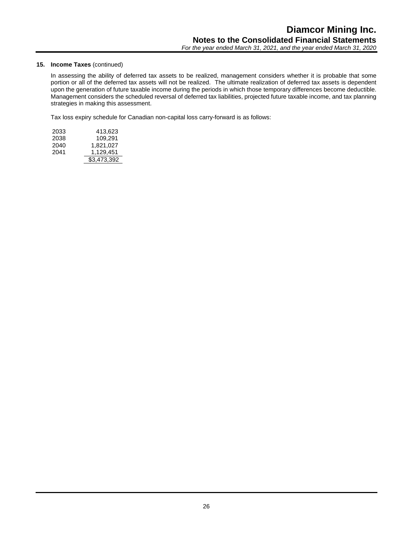#### **15. Income Taxes** (continued)

In assessing the ability of deferred tax assets to be realized, management considers whether it is probable that some portion or all of the deferred tax assets will not be realized. The ultimate realization of deferred tax assets is dependent upon the generation of future taxable income during the periods in which those temporary differences become deductible. Management considers the scheduled reversal of deferred tax liabilities, projected future taxable income, and tax planning strategies in making this assessment.

Tax loss expiry schedule for Canadian non-capital loss carry-forward is as follows:

| 2033 | 413,623     |
|------|-------------|
| 2038 | 109.291     |
| 2040 | 1.821.027   |
| 2041 | 1,129,451   |
|      | \$3,473,392 |
|      |             |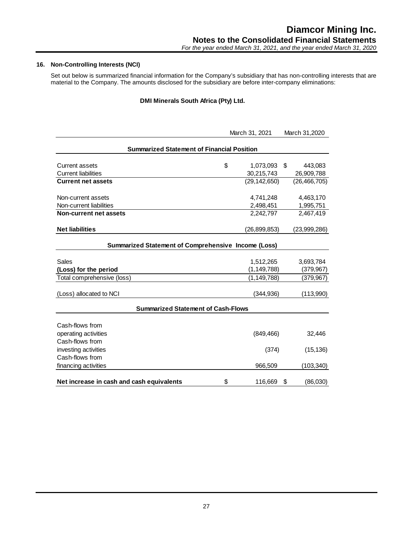# **16. Non-Controlling Interests (NCI)**

Set out below is summarized financial information for the Company's subsidiary that has non-controlling interests that are material to the Company. The amounts disclosed for the subsidiary are before inter-company eliminations:

# **DMI Minerals South Africa (Pty) Ltd.**

|                                                     | March 31, 2021 |                            | March 31,2020 |                              |  |
|-----------------------------------------------------|----------------|----------------------------|---------------|------------------------------|--|
| <b>Summarized Statement of Financial Position</b>   |                |                            |               |                              |  |
| <b>Current assets</b>                               | \$             | 1,073,093                  | \$            | 443,083                      |  |
| <b>Current liabilities</b>                          |                |                            |               |                              |  |
| <b>Current net assets</b>                           |                | 30,215,743<br>(29,142,650) |               | 26,909,788<br>(26, 466, 705) |  |
|                                                     |                |                            |               |                              |  |
| Non-current assets                                  |                | 4,741,248                  |               | 4,463,170                    |  |
| Non-current liabilities                             |                | 2,498,451                  |               | 1,995,751                    |  |
| Non-current net assets                              |                | 2,242,797                  |               | 2,467,419                    |  |
| <b>Net liabilities</b>                              |                | (26,899,853)               |               | (23,999,286)                 |  |
|                                                     |                |                            |               |                              |  |
| Summarized Statement of Comprehensive Income (Loss) |                |                            |               |                              |  |
|                                                     |                |                            |               |                              |  |
| Sales                                               |                | 1,512,265                  |               | 3,693,784                    |  |
| (Loss) for the period                               |                | (1, 149, 788)              |               | (379, 967)                   |  |
| Total comprehensive (loss)                          |                | (1, 149, 788)              |               | (379, 967)                   |  |
| (Loss) allocated to NCI                             |                | (344,936)                  |               | (113,990)                    |  |
| <b>Summarized Statement of Cash-Flows</b>           |                |                            |               |                              |  |
|                                                     |                |                            |               |                              |  |
| Cash-flows from                                     |                |                            |               |                              |  |
| operating activities                                |                | (849, 466)                 |               | 32,446                       |  |
| Cash-flows from                                     |                |                            |               |                              |  |
| investing activities                                |                | (374)                      |               | (15, 136)                    |  |
| Cash-flows from                                     |                |                            |               |                              |  |
| financing activities                                |                | 966,509                    |               | (103, 340)                   |  |
| Net increase in cash and cash equivalents           | \$             | 116,669                    | \$            | (86,030)                     |  |